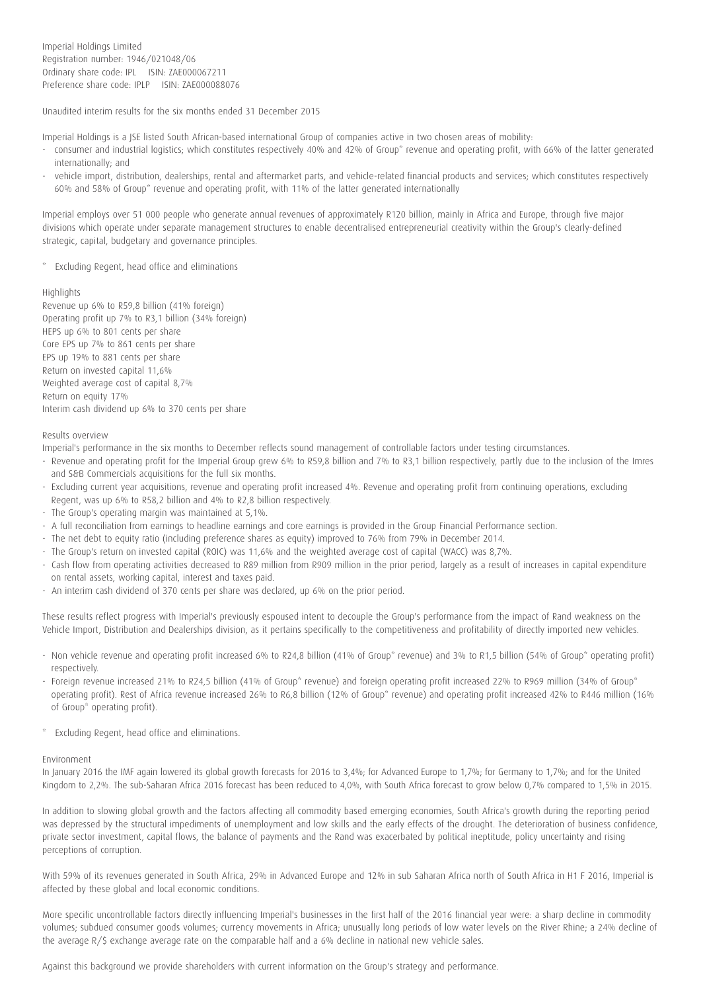Unaudited interim results for the six months ended 31 December 2015

Imperial Holdings is a JSE listed South African-based international Group of companies active in two chosen areas of mobility:

- consumer and industrial logistics; which constitutes respectively 40% and 42% of Group\* revenue and operating profit, with 66% of the latter generated internationally; and
- vehicle import, distribution, dealerships, rental and aftermarket parts, and vehicle-related financial products and services; which constitutes respectively 60% and 58% of Group\* revenue and operating profit, with 11% of the latter generated internationally

Imperial employs over 51 000 people who generate annual revenues of approximately R120 billion, mainly in Africa and Europe, through five major divisions which operate under separate management structures to enable decentralised entrepreneurial creativity within the Group's clearly-defined strategic, capital, budgetary and governance principles.

\* Excluding Regent, head office and eliminations

## Highlights

Revenue up 6% to R59,8 billion (41% foreign) Operating profit up 7% to R3,1 billion (34% foreign) HEPS up 6% to 801 cents per share Core EPS up 7% to 861 cents per share EPS up 19% to 881 cents per share Return on invested capital 11,6% Weighted average cost of capital 8,7% Return on equity 17% Interim cash dividend up 6% to 370 cents per share

## Results overview

Imperial's performance in the six months to December reflects sound management of controllable factors under testing circumstances.

- Revenue and operating profit for the Imperial Group grew 6% to R59,8 billion and 7% to R3,1 billion respectively, partly due to the inclusion of the Imres and S&B Commercials acquisitions for the full six months.
- Excluding current year acquisitions, revenue and operating profit increased 4%. Revenue and operating profit from continuing operations, excluding Regent, was up 6% to R58,2 billion and 4% to R2,8 billion respectively.
- The Group's operating margin was maintained at 5,1%.
- A full reconciliation from earnings to headline earnings and core earnings is provided in the Group Financial Performance section.
- The net debt to equity ratio (including preference shares as equity) improved to 76% from 79% in December 2014.
- The Group's return on invested capital (ROIC) was 11,6% and the weighted average cost of capital (WACC) was 8,7%.
- Cash flow from operating activities decreased to R89 million from R909 million in the prior period, largely as a result of increases in capital expenditure on rental assets, working capital, interest and taxes paid.
- An interim cash dividend of 370 cents per share was declared, up 6% on the prior period.

These results reflect progress with Imperial's previously espoused intent to decouple the Group's performance from the impact of Rand weakness on the Vehicle Import, Distribution and Dealerships division, as it pertains specifically to the competitiveness and profitability of directly imported new vehicles.

- Non vehicle revenue and operating profit increased 6% to R24,8 billion (41% of Group\* revenue) and 3% to R1,5 billion (54% of Group\* operating profit) respectively.
- Foreign revenue increased 21% to R24,5 billion (41% of Group\* revenue) and foreign operating profit increased 22% to R969 million (34% of Group\* operating profit). Rest of Africa revenue increased 26% to R6,8 billion (12% of Group\* revenue) and operating profit increased 42% to R446 million (16% of Group\* operating profit).
- \* Excluding Regent, head office and eliminations.

#### Environment

In January 2016 the IMF again lowered its global growth forecasts for 2016 to 3,4%; for Advanced Europe to 1,7%; for Germany to 1,7%; and for the United Kingdom to 2,2%. The sub-Saharan Africa 2016 forecast has been reduced to 4,0%, with South Africa forecast to grow below 0,7% compared to 1,5% in 2015.

In addition to slowing global growth and the factors affecting all commodity based emerging economies, South Africa's growth during the reporting period was depressed by the structural impediments of unemployment and low skills and the early effects of the drought. The deterioration of business confidence, private sector investment, capital flows, the balance of payments and the Rand was exacerbated by political ineptitude, policy uncertainty and rising perceptions of corruption.

With 59% of its revenues generated in South Africa, 29% in Advanced Europe and 12% in sub Saharan Africa north of South Africa in H1 F 2016, Imperial is affected by these global and local economic conditions.

More specific uncontrollable factors directly influencing Imperial's businesses in the first half of the 2016 financial year were: a sharp decline in commodity volumes; subdued consumer goods volumes; currency movements in Africa; unusually long periods of low water levels on the River Rhine; a 24% decline of the average R/\$ exchange average rate on the comparable half and a 6% decline in national new vehicle sales.

Against this background we provide shareholders with current information on the Group's strategy and performance.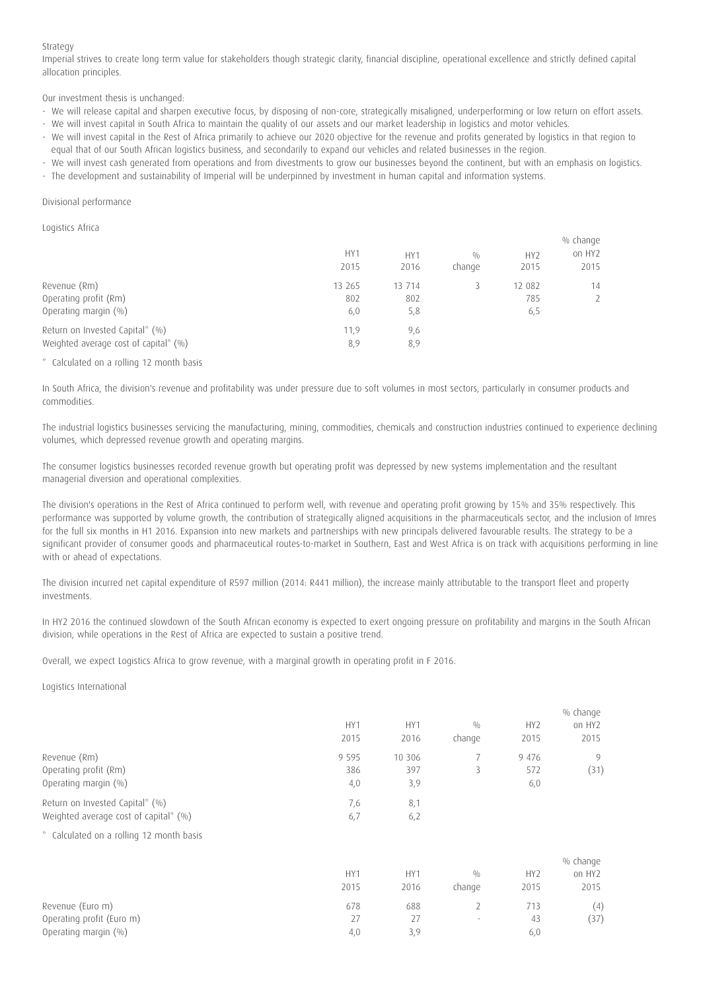## Strategy

Imperial strives to create long term value for stakeholders though strategic clarity, financial discipline, operational excellence and strictly defined capital allocation principles.

Our investment thesis is unchanged:

- We will release capital and sharpen executive focus, by disposing of non-core, strategically misaligned, underperforming or low return on effort assets.
- We will invest capital in South Africa to maintain the quality of our assets and our market leadership in logistics and motor vehicles.
- We will invest capital in the Rest of Africa primarily to achieve our 2020 objective for the revenue and profits generated by logistics in that region to equal that of our South African logistics business, and secondarily to expand our vehicles and related businesses in the region.
- We will invest cash generated from operations and from divestments to grow our businesses beyond the continent, but with an emphasis on logistics. - The development and sustainability of Imperial will be underpinned by investment in human capital and information systems.

### Divisional performance

Logistics Africa

|                                       |        |        |        |                 | % change      |
|---------------------------------------|--------|--------|--------|-----------------|---------------|
|                                       | HY1    | HY1    | 0/0    | HY <sub>2</sub> | on HY2        |
|                                       | 2015   | 2016   | change | 2015            | 2015          |
| Revenue (Rm)                          | 13 265 | 13 714 |        | 12 082          | 14            |
| Operating profit (Rm)                 | 802    | 802    |        | 785             | $\mathcal{P}$ |
| Operating margin $(\% )$              | 6,0    | 5,8    |        | 6,5             |               |
| Return on Invested Capital* (%)       | 11,9   | 9,6    |        |                 |               |
| Weighted average cost of capital* (%) | 8,9    | 8,9    |        |                 |               |
|                                       |        |        |        |                 |               |

## \* Calculated on a rolling 12 month basis

In South Africa, the division's revenue and profitability was under pressure due to soft volumes in most sectors, particularly in consumer products and commodities.

The industrial logistics businesses servicing the manufacturing, mining, commodities, chemicals and construction industries continued to experience declining volumes, which depressed revenue growth and operating margins.

The consumer logistics businesses recorded revenue growth but operating profit was depressed by new systems implementation and the resultant managerial diversion and operational complexities.

The division's operations in the Rest of Africa continued to perform well, with revenue and operating profit growing by 15% and 35% respectively. This performance was supported by volume growth, the contribution of strategically aligned acquisitions in the pharmaceuticals sector, and the inclusion of Imres for the full six months in H1 2016. Expansion into new markets and partnerships with new principals delivered favourable results. The strategy to be a significant provider of consumer goods and pharmaceutical routes-to-market in Southern, East and West Africa is on track with acquisitions performing in line with or ahead of expectations.

The division incurred net capital expenditure of R597 million (2014: R441 million), the increase mainly attributable to the transport fleet and property investments.

In HY2 2016 the continued slowdown of the South African economy is expected to exert ongoing pressure on profitability and margins in the South African division, while operations in the Rest of Africa are expected to sustain a positive trend.

Overall, we expect Logistics Africa to grow revenue, with a marginal growth in operating profit in F 2016.

Logistics International

|                                          |                 |                 |        |                 | % change           |
|------------------------------------------|-----------------|-----------------|--------|-----------------|--------------------|
|                                          | HY1             | HY1             | 0/0    | HY <sub>2</sub> | on HY2             |
|                                          | 2015            | 2016            | change | 2015            | 2015               |
| Revenue (Rm)                             | 9 5 9 5         | 10 30 6         | 7      | 9 4 7 6         | 9                  |
| Operating profit (Rm)                    | 386             | 397             | 3      | 572             | (31)               |
| Operating margin (%)                     | 4,0             | 3,9             |        | 6,0             |                    |
| Return on Invested Capital* (%)          | 7,6             | 8,1             |        |                 |                    |
| Weighted average cost of capital* (%)    | 6,7             | 6,2             |        |                 |                    |
| * Calculated on a rolling 12 month basis |                 |                 |        |                 |                    |
|                                          |                 |                 |        |                 | % change           |
|                                          | HY <sub>1</sub> | HY <sub>1</sub> | 0/0    | HY <sub>2</sub> | on HY <sub>2</sub> |
|                                          | 2015            | 2016            | change | 2015            | 2015               |
| Revenue (Euro m)                         | 678             | 688             | 2      | 713             | (4)                |
| Operating profit (Euro m)                | 27              | 27              | $\sim$ | 43              | (37)               |
| Operating margin (%)                     | 4,0             | 3,9             |        | 6,0             |                    |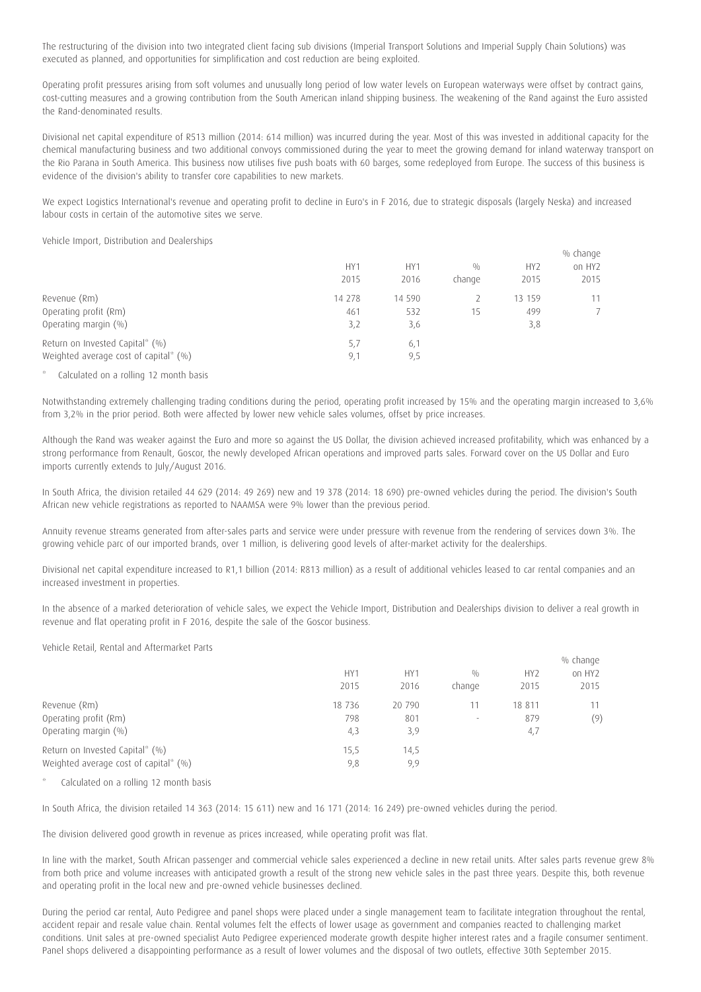The restructuring of the division into two integrated client facing sub divisions (Imperial Transport Solutions and Imperial Supply Chain Solutions) was executed as planned, and opportunities for simplification and cost reduction are being exploited.

Operating profit pressures arising from soft volumes and unusually long period of low water levels on European waterways were offset by contract gains, cost-cutting measures and a growing contribution from the South American inland shipping business. The weakening of the Rand against the Euro assisted the Rand-denominated results.

Divisional net capital expenditure of R513 million (2014: 614 million) was incurred during the year. Most of this was invested in additional capacity for the chemical manufacturing business and two additional convoys commissioned during the year to meet the growing demand for inland waterway transport on the Rio Parana in South America. This business now utilises five push boats with 60 barges, some redeployed from Europe. The success of this business is evidence of the division's ability to transfer core capabilities to new markets.

We expect Logistics International's revenue and operating profit to decline in Euro's in F 2016, due to strategic disposals (largely Neska) and increased labour costs in certain of the automotive sites we serve.

Vehicle Import, Distribution and Dealerships

|                                                                          | HY1<br>2015          | HY1<br>2016          | 0/0<br>change | HY <sub>2</sub><br>2015 | % change<br>on HY2<br>2015 |
|--------------------------------------------------------------------------|----------------------|----------------------|---------------|-------------------------|----------------------------|
| Revenue (Rm)<br>Operating profit (Rm)<br>Operating margin (%)            | 14 278<br>461<br>3,2 | 14 590<br>532<br>3,6 | 15            | 13 159<br>499<br>3,8    | 11<br>7                    |
| Return on Invested Capital* (%)<br>Weighted average cost of capital* (%) | 5,7<br>9,1           | 6,1<br>9,5           |               |                         |                            |

## Calculated on a rolling 12 month basis

Notwithstanding extremely challenging trading conditions during the period, operating profit increased by 15% and the operating margin increased to 3,6% from 3,2% in the prior period. Both were affected by lower new vehicle sales volumes, offset by price increases.

Although the Rand was weaker against the Euro and more so against the US Dollar, the division achieved increased profitability, which was enhanced by a strong performance from Renault, Goscor, the newly developed African operations and improved parts sales. Forward cover on the US Dollar and Euro imports currently extends to July/August 2016.

In South Africa, the division retailed 44 629 (2014: 49 269) new and 19 378 (2014: 18 690) pre-owned vehicles during the period. The division's South African new vehicle registrations as reported to NAAMSA were 9% lower than the previous period.

Annuity revenue streams generated from after-sales parts and service were under pressure with revenue from the rendering of services down 3%. The growing vehicle parc of our imported brands, over 1 million, is delivering good levels of after-market activity for the dealerships.

Divisional net capital expenditure increased to R1,1 billion (2014: R813 million) as a result of additional vehicles leased to car rental companies and an increased investment in properties.

In the absence of a marked deterioration of vehicle sales, we expect the Vehicle Import, Distribution and Dealerships division to deliver a real growth in revenue and flat operating profit in F 2016, despite the sale of the Goscor business.

Vehicle Retail, Rental and Aftermarket Parts

|                                       |                 |                 |                          |                 | % change |
|---------------------------------------|-----------------|-----------------|--------------------------|-----------------|----------|
|                                       | HY <sub>1</sub> | HY <sub>1</sub> | 0/0                      | HY <sub>2</sub> | on HY2   |
|                                       | 2015            | 2016            | change                   | 2015            | 2015     |
| Revenue (Rm)                          | 18 7 36         | 20 790          |                          | 18 811          | 11       |
| Operating profit (Rm)                 | 798             | 801             | $\overline{\phantom{a}}$ | 879             | (9)      |
| Operating margin $(\% )$              | 4,3             | 3,9             |                          | 4,7             |          |
| Return on Invested Capital* (%)       | 15,5            | 14,5            |                          |                 |          |
| Weighted average cost of capital* (%) | 9,8             | 9,9             |                          |                 |          |
|                                       |                 |                 |                          |                 |          |

Calculated on a rolling 12 month basis

In South Africa, the division retailed 14 363 (2014: 15 611) new and 16 171 (2014: 16 249) pre-owned vehicles during the period.

The division delivered good growth in revenue as prices increased, while operating profit was flat.

In line with the market, South African passenger and commercial vehicle sales experienced a decline in new retail units. After sales parts revenue grew 8% from both price and volume increases with anticipated growth a result of the strong new vehicle sales in the past three years. Despite this, both revenue and operating profit in the local new and pre-owned vehicle businesses declined.

During the period car rental, Auto Pedigree and panel shops were placed under a single management team to facilitate integration throughout the rental, accident repair and resale value chain. Rental volumes felt the effects of lower usage as government and companies reacted to challenging market conditions. Unit sales at pre-owned specialist Auto Pedigree experienced moderate growth despite higher interest rates and a fragile consumer sentiment. Panel shops delivered a disappointing performance as a result of lower volumes and the disposal of two outlets, effective 30th September 2015.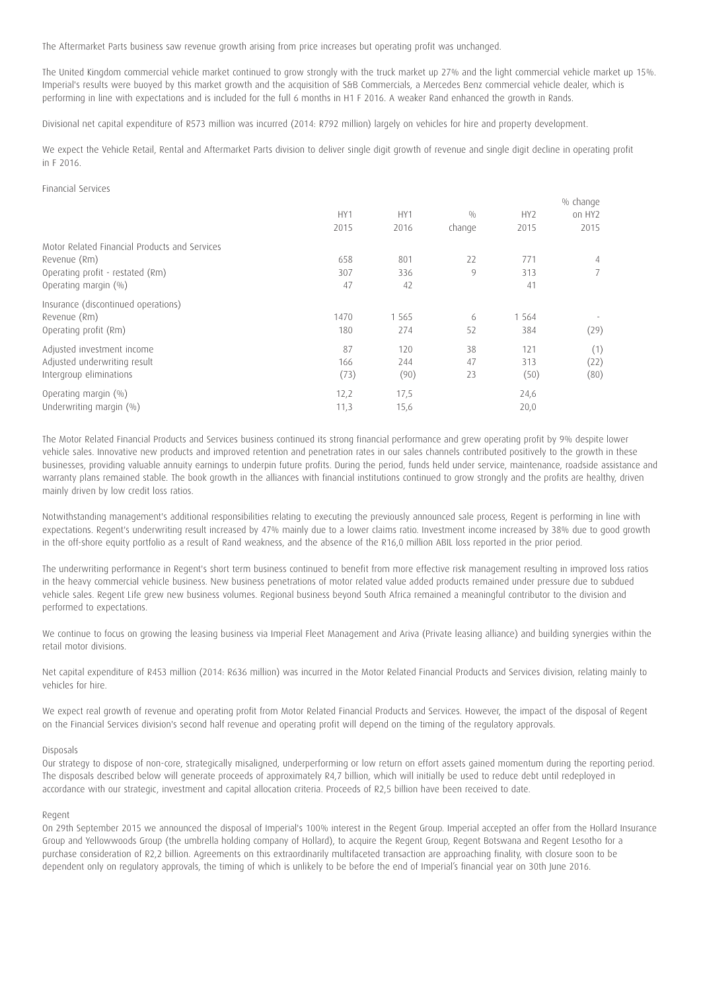The Aftermarket Parts business saw revenue growth arising from price increases but operating profit was unchanged.

The United Kingdom commercial vehicle market continued to grow strongly with the truck market up 27% and the light commercial vehicle market up 15%. Imperial's results were buoyed by this market growth and the acquisition of S&B Commercials, a Mercedes Benz commercial vehicle dealer, which is performing in line with expectations and is included for the full 6 months in H1 F 2016. A weaker Rand enhanced the growth in Rands.

Divisional net capital expenditure of R573 million was incurred (2014: R792 million) largely on vehicles for hire and property development.

We expect the Vehicle Retail, Rental and Aftermarket Parts division to deliver single digit growth of revenue and single digit decline in operating profit in F 2016.

## Financial Services

|                                               |      |                 |        |                 | % change       |
|-----------------------------------------------|------|-----------------|--------|-----------------|----------------|
|                                               | HY1  | HY <sub>1</sub> | 0/0    | HY <sub>2</sub> | on HY2         |
|                                               | 2015 | 2016            | change | 2015            | 2015           |
| Motor Related Financial Products and Services |      |                 |        |                 |                |
| Revenue (Rm)                                  | 658  | 801             | 22     | 771             | 4              |
| Operating profit - restated (Rm)              | 307  | 336             | 9      | 313             | $\overline{7}$ |
| Operating margin $(\% )$                      | 47   | 42              |        | 41              |                |
| Insurance (discontinued operations)           |      |                 |        |                 |                |
| Revenue (Rm)                                  | 1470 | 1 5 6 5         | 6      | 1 5 6 4         |                |
| Operating profit (Rm)                         | 180  | 274             | 52     | 384             | (29)           |
| Adjusted investment income                    | 87   | 120             | 38     | 121             | (1)            |
| Adjusted underwriting result                  | 166  | 244             | 47     | 313             | (22)           |
| Intergroup eliminations                       | (73) | (90)            | 23     | (50)            | (80)           |
| Operating margin $(\% )$                      | 12,2 | 17,5            |        | 24,6            |                |
| Underwriting margin (%)                       | 11,3 | 15,6            |        | 20,0            |                |

The Motor Related Financial Products and Services business continued its strong financial performance and grew operating profit by 9% despite lower vehicle sales. Innovative new products and improved retention and penetration rates in our sales channels contributed positively to the growth in these businesses, providing valuable annuity earnings to underpin future profits. During the period, funds held under service, maintenance, roadside assistance and warranty plans remained stable. The book growth in the alliances with financial institutions continued to grow strongly and the profits are healthy, driven mainly driven by low credit loss ratios.

Notwithstanding management's additional responsibilities relating to executing the previously announced sale process, Regent is performing in line with expectations. Regent's underwriting result increased by 47% mainly due to a lower claims ratio. Investment income increased by 38% due to good growth in the off-shore equity portfolio as a result of Rand weakness, and the absence of the R16,0 million ABIL loss reported in the prior period.

The underwriting performance in Regent's short term business continued to benefit from more effective risk management resulting in improved loss ratios in the heavy commercial vehicle business. New business penetrations of motor related value added products remained under pressure due to subdued vehicle sales. Regent Life grew new business volumes. Regional business beyond South Africa remained a meaningful contributor to the division and performed to expectations.

We continue to focus on growing the leasing business via Imperial Fleet Management and Ariva (Private leasing alliance) and building synergies within the retail motor divisions.

Net capital expenditure of R453 million (2014: R636 million) was incurred in the Motor Related Financial Products and Services division, relating mainly to vehicles for hire.

We expect real growth of revenue and operating profit from Motor Related Financial Products and Services. However, the impact of the disposal of Regent on the Financial Services division's second half revenue and operating profit will depend on the timing of the regulatory approvals.

#### Disposals

Our strategy to dispose of non-core, strategically misaligned, underperforming or low return on effort assets gained momentum during the reporting period. The disposals described below will generate proceeds of approximately R4,7 billion, which will initially be used to reduce debt until redeployed in accordance with our strategic, investment and capital allocation criteria. Proceeds of R2,5 billion have been received to date.

### Regent

On 29th September 2015 we announced the disposal of Imperial's 100% interest in the Regent Group. Imperial accepted an offer from the Hollard Insurance Group and Yellowwoods Group (the umbrella holding company of Hollard), to acquire the Regent Group, Regent Botswana and Regent Lesotho for a purchase consideration of R2,2 billion. Agreements on this extraordinarily multifaceted transaction are approaching finality, with closure soon to be dependent only on regulatory approvals, the timing of which is unlikely to be before the end of Imperial's financial year on 30th June 2016.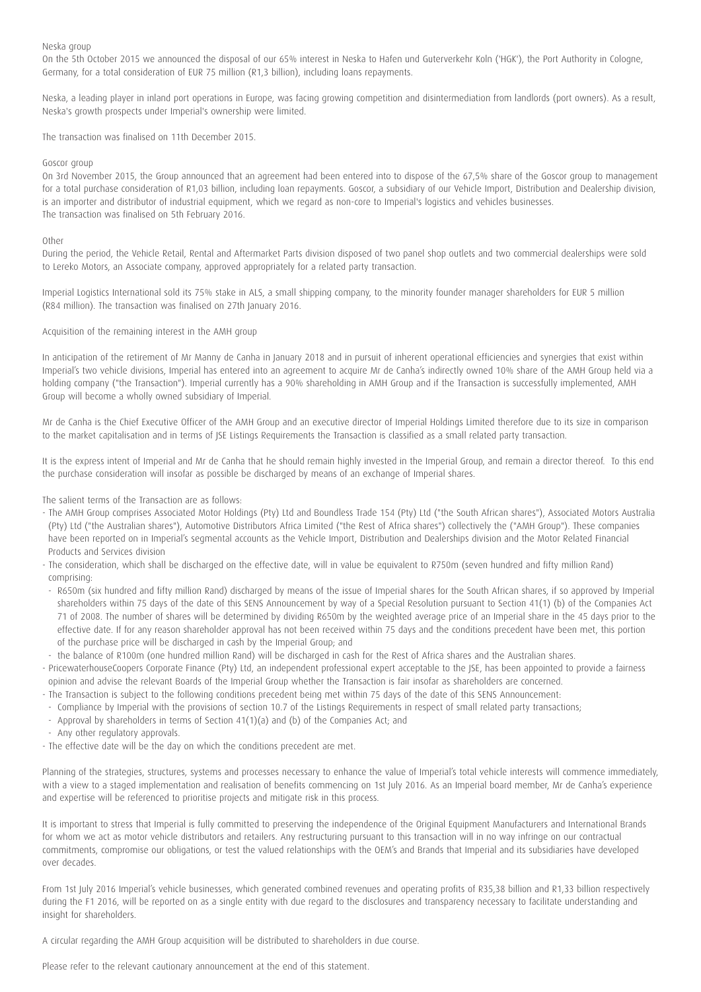Neska group

On the 5th October 2015 we announced the disposal of our 65% interest in Neska to Hafen und Guterverkehr Koln ('HGK'), the Port Authority in Cologne, Germany, for a total consideration of EUR 75 million (R1,3 billion), including loans repayments.

Neska, a leading player in inland port operations in Europe, was facing growing competition and disintermediation from landlords (port owners). As a result, Neska's growth prospects under Imperial's ownership were limited.

The transaction was finalised on 11th December 2015.

### Goscor group

On 3rd November 2015, the Group announced that an agreement had been entered into to dispose of the 67,5% share of the Goscor group to management for a total purchase consideration of R1,03 billion, including loan repayments. Goscor, a subsidiary of our Vehicle Import, Distribution and Dealership division, is an importer and distributor of industrial equipment, which we regard as non-core to Imperial's logistics and vehicles businesses. The transaction was finalised on 5th February 2016.

### **Other**

During the period, the Vehicle Retail, Rental and Aftermarket Parts division disposed of two panel shop outlets and two commercial dealerships were sold to Lereko Motors, an Associate company, approved appropriately for a related party transaction.

Imperial Logistics International sold its 75% stake in ALS, a small shipping company, to the minority founder manager shareholders for EUR 5 million (R84 million). The transaction was finalised on 27th January 2016.

Acquisition of the remaining interest in the AMH group

In anticipation of the retirement of Mr Manny de Canha in January 2018 and in pursuit of inherent operational efficiencies and synergies that exist within Imperial's two vehicle divisions, Imperial has entered into an agreement to acquire Mr de Canha's indirectly owned 10% share of the AMH Group held via a holding company ("the Transaction"). Imperial currently has a 90% shareholding in AMH Group and if the Transaction is successfully implemented, AMH Group will become a wholly owned subsidiary of Imperial.

Mr de Canha is the Chief Executive Officer of the AMH Group and an executive director of Imperial Holdings Limited therefore due to its size in comparison to the market capitalisation and in terms of JSE Listings Requirements the Transaction is classified as a small related party transaction.

It is the express intent of Imperial and Mr de Canha that he should remain highly invested in the Imperial Group, and remain a director thereof. To this end the purchase consideration will insofar as possible be discharged by means of an exchange of Imperial shares.

The salient terms of the Transaction are as follows:

- The AMH Group comprises Associated Motor Holdings (Pty) Ltd and Boundless Trade 154 (Pty) Ltd ("the South African shares"), Associated Motors Australia (Pty) Ltd ("the Australian shares"), Automotive Distributors Africa Limited ("the Rest of Africa shares") collectively the ("AMH Group"). These companies have been reported on in Imperial's segmental accounts as the Vehicle Import, Distribution and Dealerships division and the Motor Related Financial Products and Services division
- The consideration, which shall be discharged on the effective date, will in value be equivalent to R750m (seven hundred and fifty million Rand) comprising:
- R650m (six hundred and fifty million Rand) discharged by means of the issue of Imperial shares for the South African shares, if so approved by Imperial shareholders within 75 days of the date of this SENS Announcement by way of a Special Resolution pursuant to Section 41(1) (b) of the Companies Act 71 of 2008. The number of shares will be determined by dividing R650m by the weighted average price of an Imperial share in the 45 days prior to the effective date. If for any reason shareholder approval has not been received within 75 days and the conditions precedent have been met, this portion of the purchase price will be discharged in cash by the Imperial Group; and
- the balance of R100m (one hundred million Rand) will be discharged in cash for the Rest of Africa shares and the Australian shares.
- PricewaterhouseCoopers Corporate Finance (Pty) Ltd, an independent professional expert acceptable to the JSE, has been appointed to provide a fairness opinion and advise the relevant Boards of the Imperial Group whether the Transaction is fair insofar as shareholders are concerned.
- The Transaction is subject to the following conditions precedent being met within 75 days of the date of this SENS Announcement:
- Compliance by Imperial with the provisions of section 10.7 of the Listings Requirements in respect of small related party transactions;
- Approval by shareholders in terms of Section 41(1)(a) and (b) of the Companies Act; and
- Any other regulatory approvals.
- The effective date will be the day on which the conditions precedent are met.

Planning of the strategies, structures, systems and processes necessary to enhance the value of Imperial's total vehicle interests will commence immediately, with a view to a staged implementation and realisation of benefits commencing on 1st July 2016. As an Imperial board member, Mr de Canha's experience and expertise will be referenced to prioritise projects and mitigate risk in this process.

It is important to stress that Imperial is fully committed to preserving the independence of the Original Equipment Manufacturers and International Brands for whom we act as motor vehicle distributors and retailers. Any restructuring pursuant to this transaction will in no way infringe on our contractual commitments, compromise our obligations, or test the valued relationships with the OEM's and Brands that Imperial and its subsidiaries have developed over decades.

From 1st July 2016 Imperial's vehicle businesses, which generated combined revenues and operating profits of R35,38 billion and R1,33 billion respectively during the F1 2016, will be reported on as a single entity with due regard to the disclosures and transparency necessary to facilitate understanding and insight for shareholders.

A circular regarding the AMH Group acquisition will be distributed to shareholders in due course.

Please refer to the relevant cautionary announcement at the end of this statement.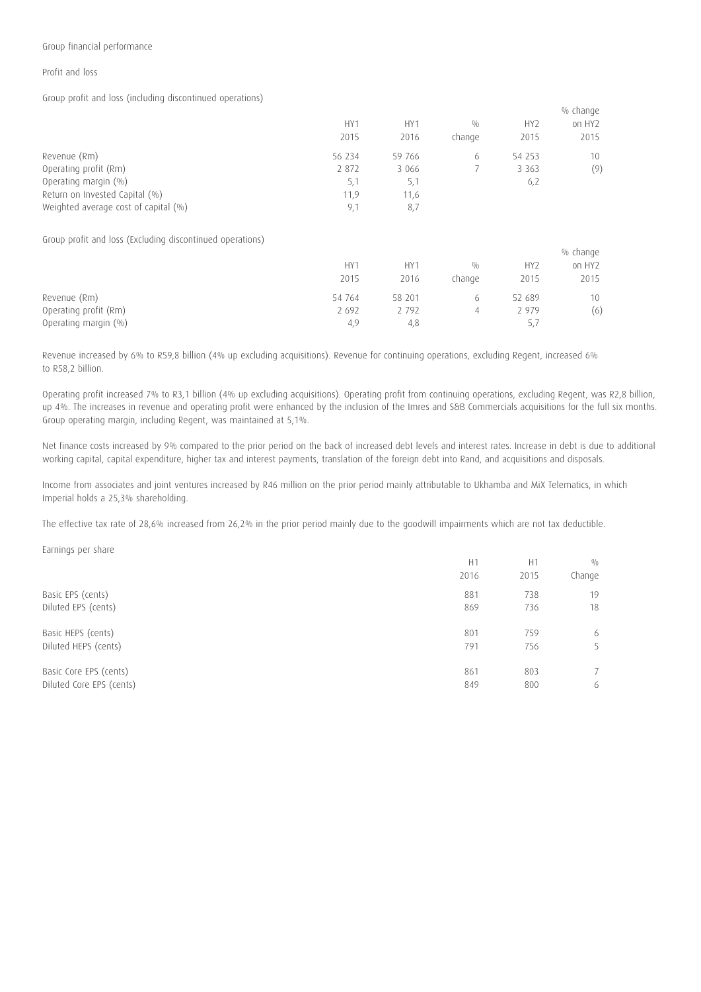## Group financial performance

### Profit and loss

Group profit and loss (including discontinued operations)

|                                                           |                 |         |        |                 | % change           |
|-----------------------------------------------------------|-----------------|---------|--------|-----------------|--------------------|
|                                                           | HY <sub>1</sub> | HY1     | 0/0    | HY <sub>2</sub> | on HY <sub>2</sub> |
|                                                           | 2015            | 2016    | change | 2015            | 2015               |
| Revenue (Rm)                                              | 56 234          | 59 766  | 6      | 54 253          | 10                 |
| Operating profit (Rm)                                     | 2 872           | 3 0 6 6 | 7      | 3 3 6 3         | (9)                |
| Operating margin (%)                                      | 5,1             | 5,1     |        | 6,2             |                    |
| Return on Invested Capital (%)                            | 11,9            | 11,6    |        |                 |                    |
| Weighted average cost of capital (%)                      | 9,1             | 8,7     |        |                 |                    |
| Group profit and loss (Excluding discontinued operations) |                 |         |        |                 |                    |
|                                                           |                 |         |        |                 | % change           |
|                                                           | HY1             | HY1     | 0/0    | HY <sub>2</sub> | on HY <sub>2</sub> |
|                                                           | 2015            | 2016    | change | 2015            | 2015               |
| Revenue (Rm)                                              | 54 764          | 58 201  | 6      | 52 689          | 10                 |
| Operating profit (Rm)                                     | 2 6 9 2         | 2 7 9 2 | 4      | 2 9 7 9         | (6)                |
| Operating margin (%)                                      | 4,9             | 4,8     |        | 5,7             |                    |

Revenue increased by 6% to R59,8 billion (4% up excluding acquisitions). Revenue for continuing operations, excluding Regent, increased 6% to R58,2 billion.

Operating profit increased 7% to R3,1 billion (4% up excluding acquisitions). Operating profit from continuing operations, excluding Regent, was R2,8 billion, up 4%. The increases in revenue and operating profit were enhanced by the inclusion of the Imres and S&B Commercials acquisitions for the full six months. Group operating margin, including Regent, was maintained at 5,1%.

Net finance costs increased by 9% compared to the prior period on the back of increased debt levels and interest rates. Increase in debt is due to additional working capital, capital expenditure, higher tax and interest payments, translation of the foreign debt into Rand, and acquisitions and disposals.

Income from associates and joint ventures increased by R46 million on the prior period mainly attributable to Ukhamba and MiX Telematics, in which Imperial holds a 25,3% shareholding.

The effective tax rate of 28,6% increased from 26,2% in the prior period mainly due to the goodwill impairments which are not tax deductible.

Earnings per share

|                          | H1   | H1   | 0/0         |
|--------------------------|------|------|-------------|
|                          | 2016 | 2015 | Change      |
| Basic EPS (cents)        | 881  | 738  | 19          |
| Diluted EPS (cents)      | 869  | 736  | 18          |
| Basic HEPS (cents)       | 801  | 759  | 6           |
| Diluted HEPS (cents)     | 791  | 756  | 5           |
| Basic Core EPS (cents)   | 861  | 803  | $7^{\circ}$ |
| Diluted Core EPS (cents) | 849  | 800  | 6           |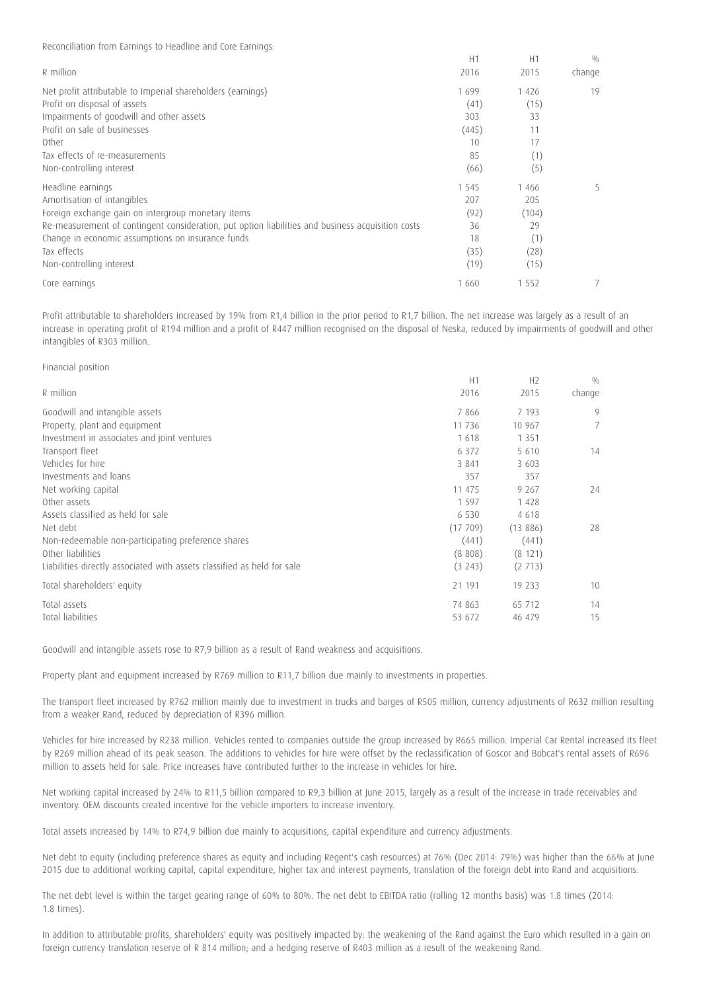Reconciliation from Earnings to Headline and Core Earnings:

|                                                                                                   | H1      | H1      | 0/0    |
|---------------------------------------------------------------------------------------------------|---------|---------|--------|
| R million                                                                                         | 2016    | 2015    | change |
| Net profit attributable to Imperial shareholders (earnings)                                       | 1699    | 1426    | 19     |
| Profit on disposal of assets                                                                      | (41)    | (15)    |        |
| Impairments of goodwill and other assets                                                          | 303     | 33      |        |
| Profit on sale of businesses                                                                      | (445)   | 11      |        |
| Other                                                                                             | 10      | 17      |        |
| Tax effects of re-measurements                                                                    | 85      | (1)     |        |
| Non-controlling interest                                                                          | (66)    | (5)     |        |
| Headline earnings                                                                                 | 1 5 4 5 | 1 4 6 6 | 5      |
| Amortisation of intangibles                                                                       | 207     | 205     |        |
| Foreign exchange gain on intergroup monetary items                                                | (92)    | (104)   |        |
| Re-measurement of contingent consideration, put option liabilities and business acquisition costs | 36      | 29      |        |
| Change in economic assumptions on insurance funds                                                 | 18      | (1)     |        |
| Tax effects                                                                                       | (35)    | (28)    |        |
| Non-controlling interest                                                                          | (19)    | (15)    |        |
| Core earnings                                                                                     | 1 660   | 1 5 5 2 |        |

Profit attributable to shareholders increased by 19% from R1,4 billion in the prior period to R1,7 billion. The net increase was largely as a result of an increase in operating profit of R194 million and a profit of R447 million recognised on the disposal of Neska, reduced by impairments of goodwill and other intangibles of R303 million.

## Financial position

|                                                                         | H1      | H <sub>2</sub> | 0/0    |
|-------------------------------------------------------------------------|---------|----------------|--------|
| R million                                                               | 2016    | 2015           | change |
| Goodwill and intangible assets                                          | 7866    | 7 1 9 3        | 9      |
| Property, plant and equipment                                           | 11 736  | 10 967         |        |
| Investment in associates and joint ventures                             | 1618    | 1 3 5 1        |        |
| Transport fleet                                                         | 6 3 7 2 | 5 6 1 0        | 14     |
| Vehicles for hire                                                       | 3 8 4 1 | 3 603          |        |
| Investments and loans                                                   | 357     | 357            |        |
| Net working capital                                                     | 11 475  | 9 2 6 7        | 24     |
| Other assets                                                            | 1597    | 1 4 2 8        |        |
| Assets classified as held for sale                                      | 6 5 3 0 | 4 6 1 8        |        |
| Net debt                                                                | (17709) | (13886)        | 28     |
| Non-redeemable non-participating preference shares                      | (441)   | (441)          |        |
| Other liabilities                                                       | (8808)  | (8 121)        |        |
| Liabilities directly associated with assets classified as held for sale | (3243)  | (2713)         |        |
| Total shareholders' equity                                              | 21 191  | 19 233         | 10     |
| Total assets                                                            | 74 863  | 65 712         | 14     |
| Total liabilities                                                       | 53 672  | 46 479         | 15     |

Goodwill and intangible assets rose to R7,9 billion as a result of Rand weakness and acquisitions.

Property plant and equipment increased by R769 million to R11,7 billion due mainly to investments in properties.

The transport fleet increased by R762 million mainly due to investment in trucks and barges of R505 million, currency adjustments of R632 million resulting from a weaker Rand, reduced by depreciation of R396 million.

Vehicles for hire increased by R238 million. Vehicles rented to companies outside the group increased by R665 million. Imperial Car Rental increased its fleet by R269 million ahead of its peak season. The additions to vehicles for hire were offset by the reclassification of Goscor and Bobcat's rental assets of R696 million to assets held for sale. Price increases have contributed further to the increase in vehicles for hire.

Net working capital increased by 24% to R11,5 billion compared to R9,3 billion at June 2015, largely as a result of the increase in trade receivables and inventory. OEM discounts created incentive for the vehicle importers to increase inventory.

Total assets increased by 14% to R74,9 billion due mainly to acquisitions, capital expenditure and currency adjustments.

Net debt to equity (including preference shares as equity and including Regent's cash resources) at 76% (Dec 2014: 79%) was higher than the 66% at June 2015 due to additional working capital, capital expenditure, higher tax and interest payments, translation of the foreign debt into Rand and acquisitions.

The net debt level is within the target gearing range of 60% to 80%. The net debt to EBITDA ratio (rolling 12 months basis) was 1.8 times (2014: 1.8 times).

In addition to attributable profits, shareholders' equity was positively impacted by: the weakening of the Rand against the Euro which resulted in a gain on foreign currency translation reserve of R 814 million; and a hedging reserve of R403 million as a result of the weakening Rand.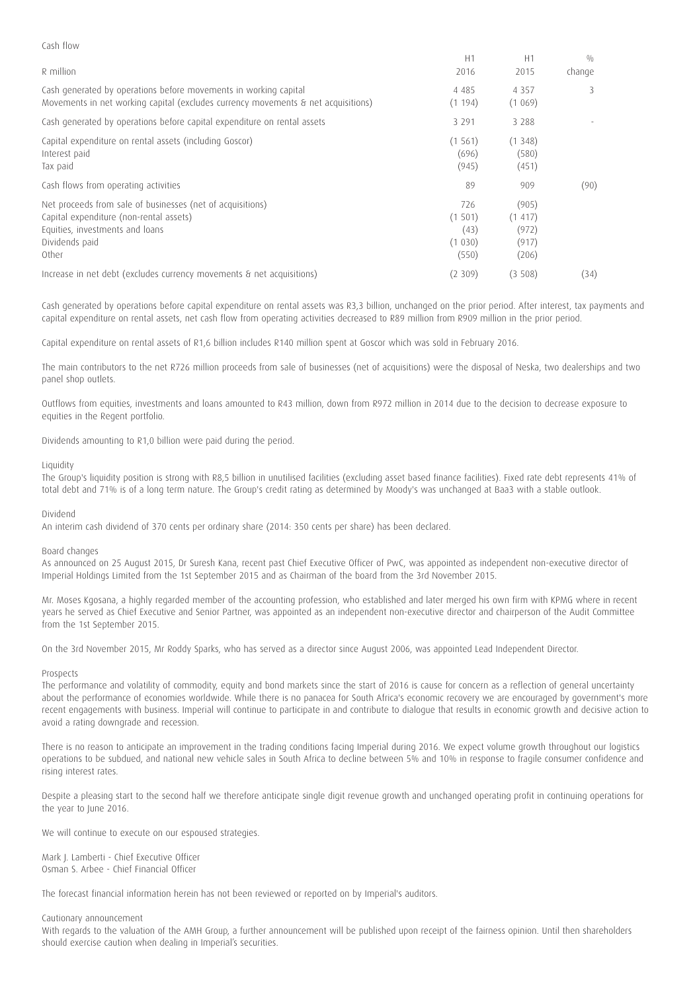| CASH HOW                                                                                                                                                            |                                           |                                             |        |
|---------------------------------------------------------------------------------------------------------------------------------------------------------------------|-------------------------------------------|---------------------------------------------|--------|
|                                                                                                                                                                     | H1                                        | H1                                          | 0/0    |
| R million                                                                                                                                                           | 2016                                      | 2015                                        | change |
| Cash generated by operations before movements in working capital<br>Movements in net working capital (excludes currency movements & net acquisitions)               | 4 4 8 5<br>(1 194)                        | 4 3 5 7<br>(1069)                           | 3      |
| Cash generated by operations before capital expenditure on rental assets                                                                                            | 3 2 9 1                                   | 3 2 8 8                                     |        |
| Capital expenditure on rental assets (including Goscor)<br>Interest paid<br>Tax paid                                                                                | (1 561)<br>(696)<br>(945)                 | (1348)<br>(580)<br>(451)                    |        |
| Cash flows from operating activities                                                                                                                                | 89                                        | 909                                         | (90)   |
| Net proceeds from sale of businesses (net of acquisitions)<br>Capital expenditure (non-rental assets)<br>Equities, investments and loans<br>Dividends paid<br>Other | 726<br>(1501)<br>(43)<br>(1 030)<br>(550) | (905)<br>(1 417)<br>(972)<br>(917)<br>(206) |        |
| Increase in net debt (excludes currency movements & net acquisitions)                                                                                               | (2309)                                    | (3508)                                      | (34)   |

Cash generated by operations before capital expenditure on rental assets was R3,3 billion, unchanged on the prior period. After interest, tax payments and capital expenditure on rental assets, net cash flow from operating activities decreased to R89 million from R909 million in the prior period.

Capital expenditure on rental assets of R1,6 billion includes R140 million spent at Goscor which was sold in February 2016.

The main contributors to the net R726 million proceeds from sale of businesses (net of acquisitions) were the disposal of Neska, two dealerships and two panel shop outlets.

Outflows from equities, investments and loans amounted to R43 million, down from R972 million in 2014 due to the decision to decrease exposure to equities in the Regent portfolio.

Dividends amounting to R1,0 billion were paid during the period.

#### **Liquidity**

Cash flow

The Group's liquidity position is strong with R8,5 billion in unutilised facilities (excluding asset based finance facilities). Fixed rate debt represents 41% of total debt and 71% is of a long term nature. The Group's credit rating as determined by Moody's was unchanged at Baa3 with a stable outlook.

#### Dividend

An interim cash dividend of 370 cents per ordinary share (2014: 350 cents per share) has been declared.

#### Board changes

As announced on 25 August 2015, Dr Suresh Kana, recent past Chief Executive Officer of PwC, was appointed as independent non-executive director of Imperial Holdings Limited from the 1st September 2015 and as Chairman of the board from the 3rd November 2015.

Mr. Moses Kgosana, a highly regarded member of the accounting profession, who established and later merged his own firm with KPMG where in recent years he served as Chief Executive and Senior Partner, was appointed as an independent non-executive director and chairperson of the Audit Committee from the 1st September 2015.

On the 3rd November 2015, Mr Roddy Sparks, who has served as a director since August 2006, was appointed Lead Independent Director.

## Prospects

The performance and volatility of commodity, equity and bond markets since the start of 2016 is cause for concern as a reflection of general uncertainty about the performance of economies worldwide. While there is no panacea for South Africa's economic recovery we are encouraged by government's more recent engagements with business. Imperial will continue to participate in and contribute to dialogue that results in economic growth and decisive action to avoid a rating downgrade and recession.

There is no reason to anticipate an improvement in the trading conditions facing Imperial during 2016. We expect volume growth throughout our logistics operations to be subdued, and national new vehicle sales in South Africa to decline between 5% and 10% in response to fragile consumer confidence and rising interest rates.

Despite a pleasing start to the second half we therefore anticipate single digit revenue growth and unchanged operating profit in continuing operations for the year to June 2016.

We will continue to execute on our espoused strategies.

Mark J. Lamberti - Chief Executive Officer Osman S. Arbee - Chief Financial Officer

The forecast financial information herein has not been reviewed or reported on by Imperial's auditors.

#### Cautionary announcement

With regards to the valuation of the AMH Group, a further announcement will be published upon receipt of the fairness opinion. Until then shareholders should exercise caution when dealing in Imperial's securities.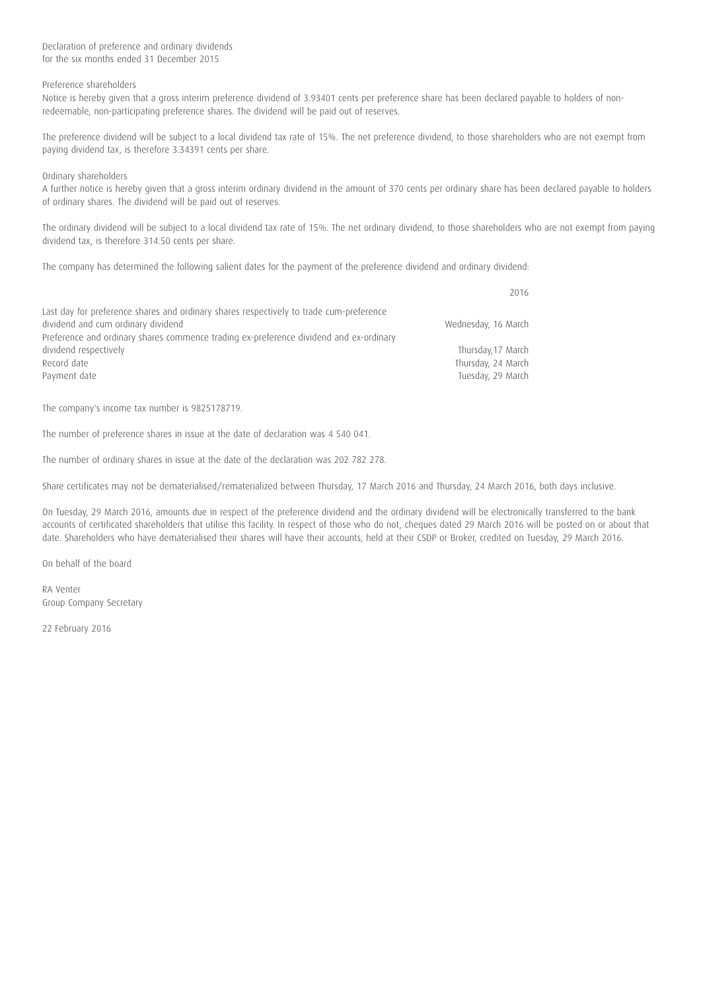Declaration of preference and ordinary dividends for the six months ended 31 December 2015

## Preference shareholders

Notice is hereby given that a gross interim preference dividend of 3.93401 cents per preference share has been declared payable to holders of nonredeemable, non-participating preference shares. The dividend will be paid out of reserves.

The preference dividend will be subject to a local dividend tax rate of 15%. The net preference dividend, to those shareholders who are not exempt from paying dividend tax, is therefore 3.34391 cents per share.

Ordinary shareholders

A further notice is hereby given that a gross interim ordinary dividend in the amount of 370 cents per ordinary share has been declared payable to holders of ordinary shares. The dividend will be paid out of reserves.

The ordinary dividend will be subject to a local dividend tax rate of 15%. The net ordinary dividend, to those shareholders who are not exempt from paying dividend tax, is therefore 314.50 cents per share.

The company has determined the following salient dates for the payment of the preference dividend and ordinary dividend:

|                                                                                                                                                                                                                         | 2016                                    |
|-------------------------------------------------------------------------------------------------------------------------------------------------------------------------------------------------------------------------|-----------------------------------------|
| Last day for preference shares and ordinary shares respectively to trade cum-preference<br>dividend and cum ordinary dividend<br>Preference and ordinary shares commence trading ex-preference dividend and ex-ordinary | Wednesday, 16 March                     |
| dividend respectively                                                                                                                                                                                                   | Thursday, 17 March                      |
| Record date<br>Payment date                                                                                                                                                                                             | Thursday, 24 March<br>Tuesday, 29 March |

The company's income tax number is 9825178719.

The number of preference shares in issue at the date of declaration was 4 540 041.

The number of ordinary shares in issue at the date of the declaration was 202 782 278.

Share certificates may not be dematerialised/rematerialized between Thursday, 17 March 2016 and Thursday, 24 March 2016, both days inclusive.

On Tuesday, 29 March 2016, amounts due in respect of the preference dividend and the ordinary dividend will be electronically transferred to the bank accounts of certificated shareholders that utilise this facility. In respect of those who do not, cheques dated 29 March 2016 will be posted on or about that date. Shareholders who have dematerialised their shares will have their accounts, held at their CSDP or Broker, credited on Tuesday, 29 March 2016.

On behalf of the board

RA Venter Group Company Secretary

22 February 2016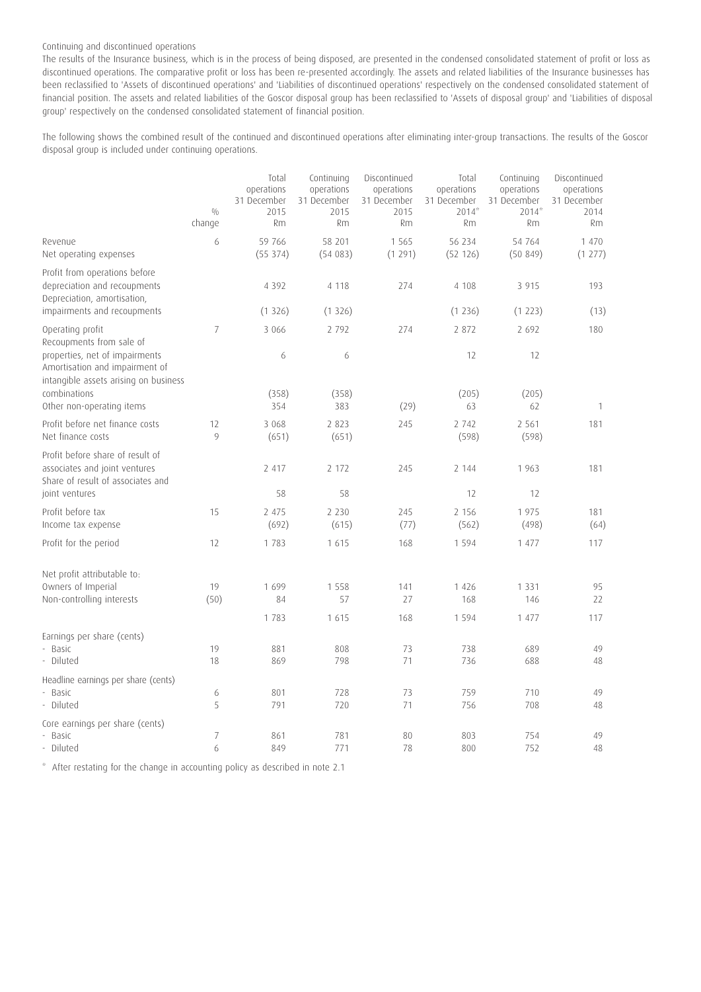## Continuing and discontinued operations

The results of the Insurance business, which is in the process of being disposed, are presented in the condensed consolidated statement of profit or loss as discontinued operations. The comparative profit or loss has been re-presented accordingly. The assets and related liabilities of the Insurance businesses has been reclassified to 'Assets of discontinued operations' and 'Liabilities of discontinued operations' respectively on the condensed consolidated statement of financial position. The assets and related liabilities of the Goscor disposal group has been reclassified to 'Assets of disposal group' and 'Liabilities of disposal group' respectively on the condensed consolidated statement of financial position.

The following shows the combined result of the continued and discontinued operations after eliminating inter-group transactions. The results of the Goscor disposal group is included under continuing operations.

|                                                                                                                                       | 0/0<br>change       | Total<br>operations<br>31 December<br>2015<br><b>Rm</b> | Continuing<br>operations<br>31 December<br>2015<br><b>Rm</b> | Discontinued<br>operations<br>31 December<br>2015<br>Rm | Total<br>operations<br>31 December<br>$2014*$<br><b>Rm</b> | Continuing<br>operations<br>31 December<br>$2014*$<br><b>Rm</b> | Discontinued<br>operations<br>31 December<br>2014<br><b>Rm</b> |
|---------------------------------------------------------------------------------------------------------------------------------------|---------------------|---------------------------------------------------------|--------------------------------------------------------------|---------------------------------------------------------|------------------------------------------------------------|-----------------------------------------------------------------|----------------------------------------------------------------|
| Revenue<br>Net operating expenses                                                                                                     | 6                   | 59 766<br>(55374)                                       | 58 201<br>(54083)                                            | 1 5 6 5<br>(1291)                                       | 56 234<br>(52 126)                                         | 54 764<br>(50849)                                               | 1 470<br>(1 277)                                               |
| Profit from operations before<br>depreciation and recoupments<br>Depreciation, amortisation,<br>impairments and recoupments           |                     | 4 3 9 2<br>(1326)                                       | 4 1 1 8<br>(1326)                                            | 274                                                     | 4 108<br>(1236)                                            | 3 9 1 5<br>(1 223)                                              | 193<br>(13)                                                    |
| Operating profit                                                                                                                      | $\overline{7}$      | 3 0 6 6                                                 | 2 7 9 2                                                      | 274                                                     | 2 872                                                      | 2 6 9 2                                                         | 180                                                            |
| Recoupments from sale of<br>properties, net of impairments<br>Amortisation and impairment of<br>intangible assets arising on business |                     | 6                                                       | 6                                                            |                                                         | 12                                                         | 12                                                              |                                                                |
| combinations<br>Other non-operating items                                                                                             |                     | (358)<br>354                                            | (358)<br>383                                                 | (29)                                                    | (205)<br>63                                                | (205)<br>62                                                     | $\mathbf{1}$                                                   |
| Profit before net finance costs<br>Net finance costs                                                                                  | 12<br>9             | 3 0 6 8<br>(651)                                        | 2 8 2 3<br>(651)                                             | 245                                                     | 2 7 4 2<br>(598)                                           | 2 5 6 1<br>(598)                                                | 181                                                            |
| Profit before share of result of<br>associates and joint ventures<br>Share of result of associates and                                |                     | 2 4 1 7                                                 | 2 172                                                        | 245                                                     | 2 144                                                      | 1963                                                            | 181                                                            |
| joint ventures                                                                                                                        |                     | 58                                                      | 58                                                           |                                                         | 12                                                         | 12                                                              |                                                                |
| Profit before tax<br>Income tax expense                                                                                               | 15                  | 2 4 7 5<br>(692)                                        | 2 2 3 0<br>(615)                                             | 245<br>(77)                                             | 2 1 5 6<br>(562)                                           | 1975<br>(498)                                                   | 181<br>(64)                                                    |
| Profit for the period                                                                                                                 | 12                  | 1783                                                    | 1 6 1 5                                                      | 168                                                     | 1 5 9 4                                                    | 1 477                                                           | 117                                                            |
| Net profit attributable to:<br>Owners of Imperial<br>Non-controlling interests                                                        | 19<br>(50)          | 1699<br>84<br>1 783                                     | 1 5 5 8<br>57<br>1 6 1 5                                     | 141<br>27<br>168                                        | 1 4 2 6<br>168<br>1 5 9 4                                  | 1 3 3 1<br>146<br>1 477                                         | 95<br>22<br>117                                                |
| Earnings per share (cents)<br>- Basic<br>- Diluted                                                                                    | 19<br>18            | 881<br>869                                              | 808<br>798                                                   | 73<br>71                                                | 738<br>736                                                 | 689<br>688                                                      | 49<br>48                                                       |
| Headline earnings per share (cents)<br>- Basic<br>- Diluted                                                                           | 6<br>5              | 801<br>791                                              | 728<br>720                                                   | 73<br>71                                                | 759<br>756                                                 | 710<br>708                                                      | 49<br>48                                                       |
| Core earnings per share (cents)<br>- Basic<br>- Diluted                                                                               | $\overline{7}$<br>6 | 861<br>849                                              | 781<br>771                                                   | 80<br>78                                                | 803<br>800                                                 | 754<br>752                                                      | 49<br>48                                                       |

\* After restating for the change in accounting policy as described in note 2.1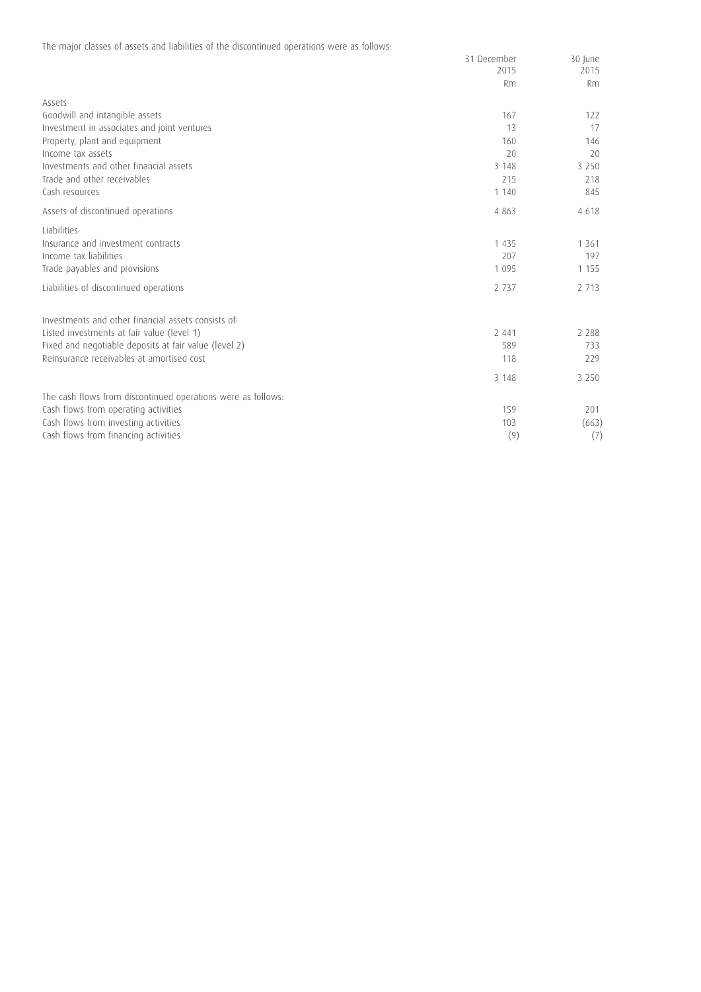The major classes of assets and liabilities of the discontinued operations were as follows:

|                                                              | 31 December<br>2015 | 30 June<br>2015 |
|--------------------------------------------------------------|---------------------|-----------------|
|                                                              | Rm                  | Rm              |
|                                                              |                     |                 |
| Assets                                                       |                     |                 |
| Goodwill and intangible assets                               | 167                 | 122             |
| Investment in associates and joint ventures                  | 13                  | 17              |
| Property, plant and equipment                                | 160                 | 146             |
| Income tax assets                                            | 20                  | 20              |
| Investments and other financial assets                       | 3 1 4 8             | 3 2 5 0         |
| Trade and other receivables                                  | 215                 | 218             |
| Cash resources                                               | 1 1 4 0             | 845             |
| Assets of discontinued operations                            | 4 8 6 3             | 4 6 1 8         |
| Liabilities                                                  |                     |                 |
| Insurance and investment contracts                           | 1 4 3 5             | 1 3 6 1         |
| Income tax liabilities                                       | 207                 | 197             |
| Trade payables and provisions                                | 1 0 9 5             | 1 1 5 5         |
| Liabilities of discontinued operations                       | 2 7 3 7             | 2 7 1 3         |
| Investments and other financial assets consists of:          |                     |                 |
| Listed investments at fair value (level 1)                   | 2 4 4 1             | 2 2 8 8         |
| Fixed and negotiable deposits at fair value (level 2)        | 589                 | 733             |
| Reinsurance receivables at amortised cost                    | 118                 | 229             |
|                                                              | 3 1 4 8             | 3 2 5 0         |
| The cash flows from discontinued operations were as follows: |                     |                 |
| Cash flows from operating activities                         | 159                 | 201             |
| Cash flows from investing activities                         | 103                 | (663)           |
| Cash flows from financing activities                         | (9)                 | (7)             |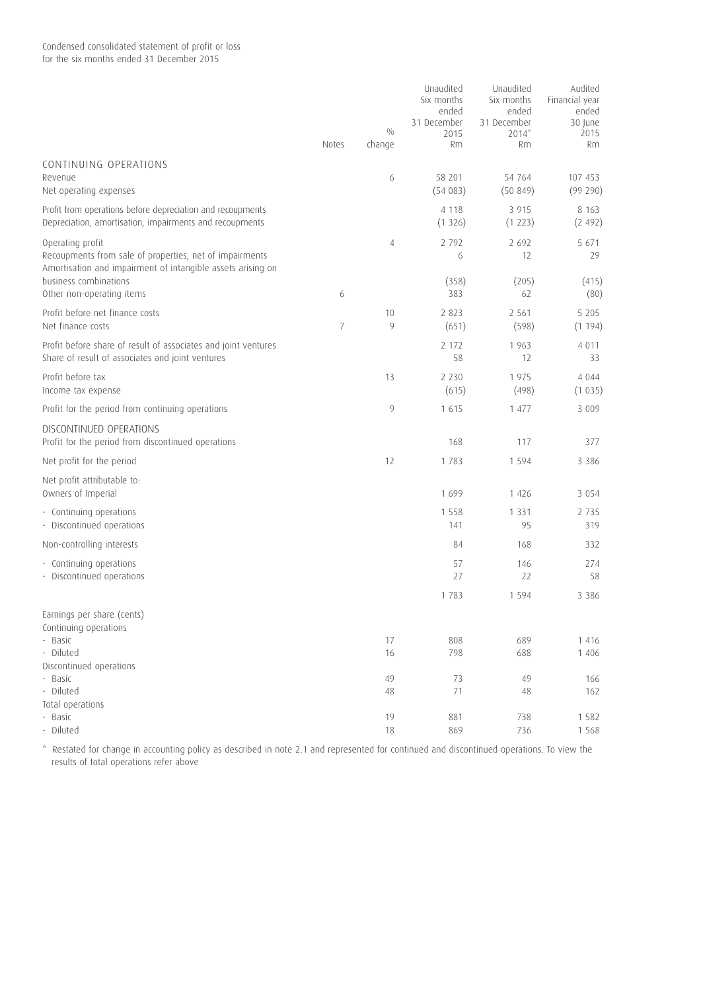|                                                                                                                                            | <b>Notes</b>   | 0/0<br>change | Unaudited<br>Six months<br>ended<br>31 December<br>2015<br><b>Rm</b> | Unaudited<br>Six months<br>ended<br>31 December<br>$2014*$<br>Rm | Audited<br>Financial year<br>ended<br>30 June<br>2015<br>Rm |
|--------------------------------------------------------------------------------------------------------------------------------------------|----------------|---------------|----------------------------------------------------------------------|------------------------------------------------------------------|-------------------------------------------------------------|
| CONTINUING OPERATIONS                                                                                                                      |                |               |                                                                      |                                                                  |                                                             |
| Revenue<br>Net operating expenses                                                                                                          |                | 6             | 58 201<br>(54083)                                                    | 54 764<br>(50849)                                                | 107 453<br>(99 290)                                         |
| Profit from operations before depreciation and recoupments<br>Depreciation, amortisation, impairments and recoupments                      |                |               | 4 1 1 8<br>(1326)                                                    | 3 9 1 5<br>(1 223)                                               | 8 1 6 3<br>(2 492)                                          |
| Operating profit<br>Recoupments from sale of properties, net of impairments<br>Amortisation and impairment of intangible assets arising on |                | 4             | 2 7 9 2<br>6                                                         | 2 6 9 2<br>12                                                    | 5 671<br>29                                                 |
| business combinations<br>Other non-operating items                                                                                         | 6              |               | (358)<br>383                                                         | (205)<br>62                                                      | (415)<br>(80)                                               |
| Profit before net finance costs<br>Net finance costs                                                                                       | $\overline{7}$ | 10<br>9       | 2 8 2 3<br>(651)                                                     | 2 5 6 1<br>(598)                                                 | 5 2 0 5<br>(1194)                                           |
| Profit before share of result of associates and joint ventures<br>Share of result of associates and joint ventures                         |                |               | 2 172<br>58                                                          | 1 9 6 3<br>12                                                    | 4 0 1 1<br>33                                               |
| Profit before tax<br>Income tax expense                                                                                                    |                | 13            | 2 2 3 0<br>(615)                                                     | 1975<br>(498)                                                    | 4 0 4 4<br>(1035)                                           |
| Profit for the period from continuing operations                                                                                           |                | 9             | 1615                                                                 | 1 477                                                            | 3 0 0 9                                                     |
| DISCONTINUED OPERATIONS<br>Profit for the period from discontinued operations                                                              |                |               | 168                                                                  | 117                                                              | 377                                                         |
| Net profit for the period                                                                                                                  |                | 12            | 1783                                                                 | 1594                                                             | 3 3 8 6                                                     |
| Net profit attributable to:<br>Owners of Imperial                                                                                          |                |               | 1699                                                                 | 1 4 2 6                                                          | 3 0 5 4                                                     |
| - Continuing operations<br>- Discontinued operations                                                                                       |                |               | 1 5 5 8<br>141                                                       | 1 3 3 1<br>95                                                    | 2 7 3 5<br>319                                              |
| Non-controlling interests                                                                                                                  |                |               | 84                                                                   | 168                                                              | 332                                                         |
| - Continuing operations<br>- Discontinued operations                                                                                       |                |               | 57<br>27                                                             | 146<br>22                                                        | 274<br>58                                                   |
|                                                                                                                                            |                |               | 1 7 8 3                                                              | 1 5 9 4                                                          | 3 3 8 6                                                     |
| Earnings per share (cents)<br>Continuing operations                                                                                        |                |               |                                                                      |                                                                  |                                                             |
| - Basic                                                                                                                                    |                | 17            | 808                                                                  | 689                                                              | 1 4 1 6                                                     |
| - Diluted<br>Discontinued operations                                                                                                       |                | 16            | 798                                                                  | 688                                                              | 1 406                                                       |
| - Basic                                                                                                                                    |                | 49            | 73                                                                   | 49                                                               | 166                                                         |
| - Diluted                                                                                                                                  |                | 48            | 71                                                                   | 48                                                               | 162                                                         |
| Total operations                                                                                                                           |                |               |                                                                      |                                                                  |                                                             |
| - Basic<br>Diluted                                                                                                                         |                | 19<br>18      | 881<br>869                                                           | 738<br>736                                                       | 1 5 8 2<br>1 5 6 8                                          |

\* Restated for change in accounting policy as described in note 2.1 and represented for continued and discontinued operations. To view the results of total operations refer above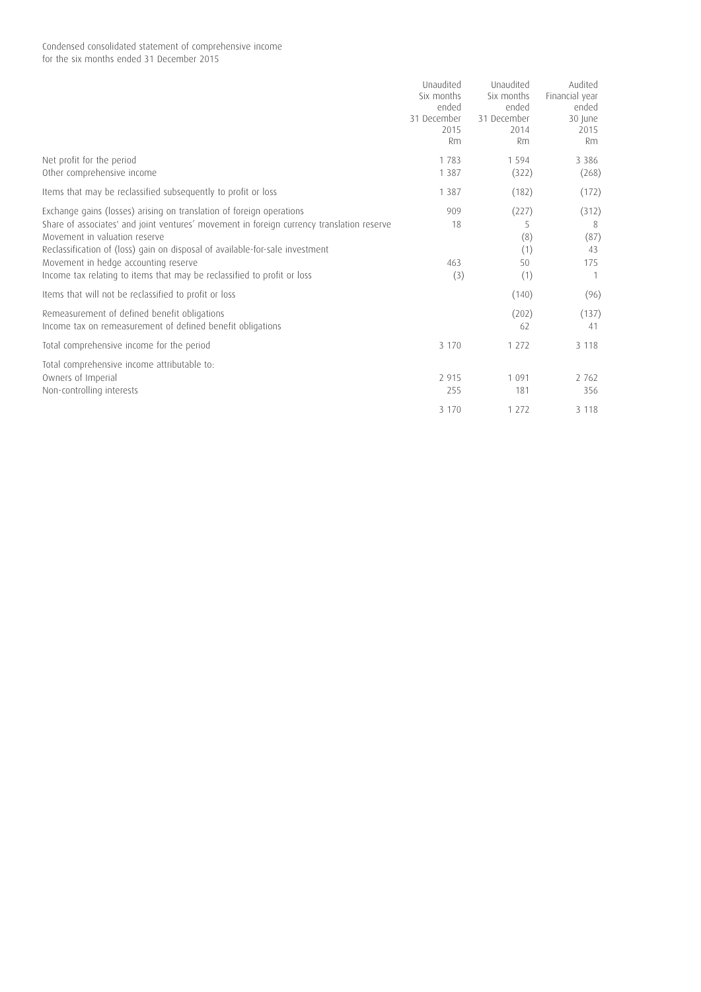## Condensed consolidated statement of comprehensive income for the six months ended 31 December 2015

|                                                                                                                                                                                                                                                                                                                                                                                                       | Unaudited<br>Six months<br>ended<br>31 December<br>2015<br><b>Rm</b> | Unaudited<br>Six months<br>ended<br>31 December<br>2014<br>Rm | Audited<br>Financial year<br>ended<br>30 June<br>2015<br><b>Rm</b> |
|-------------------------------------------------------------------------------------------------------------------------------------------------------------------------------------------------------------------------------------------------------------------------------------------------------------------------------------------------------------------------------------------------------|----------------------------------------------------------------------|---------------------------------------------------------------|--------------------------------------------------------------------|
| Net profit for the period<br>Other comprehensive income                                                                                                                                                                                                                                                                                                                                               | 1783<br>1 3 8 7                                                      | 1 5 9 4<br>(322)                                              | 3 3 8 6<br>(268)                                                   |
| Items that may be reclassified subsequently to profit or loss                                                                                                                                                                                                                                                                                                                                         | 1 3 8 7                                                              | (182)                                                         | (172)                                                              |
| Exchange gains (losses) arising on translation of foreign operations<br>Share of associates' and joint ventures' movement in foreign currency translation reserve<br>Movement in valuation reserve<br>Reclassification of (loss) gain on disposal of available-for-sale investment<br>Movement in hedge accounting reserve<br>Income tax relating to items that may be reclassified to profit or loss | 909<br>18<br>463<br>(3)                                              | (227)<br>5<br>(8)<br>(1)<br>50<br>(1)                         | (312)<br>8<br>(87)<br>43<br>175                                    |
| Items that will not be reclassified to profit or loss                                                                                                                                                                                                                                                                                                                                                 |                                                                      | (140)                                                         | (96)                                                               |
| Remeasurement of defined benefit obligations<br>Income tax on remeasurement of defined benefit obligations                                                                                                                                                                                                                                                                                            |                                                                      | (202)<br>62                                                   | (137)<br>41                                                        |
| Total comprehensive income for the period                                                                                                                                                                                                                                                                                                                                                             | 3 1 7 0                                                              | 1 2 7 2                                                       | 3 1 1 8                                                            |
| Total comprehensive income attributable to:<br>Owners of Imperial<br>Non-controlling interests                                                                                                                                                                                                                                                                                                        | 2 9 1 5<br>255                                                       | 1 0 9 1<br>181                                                | 2 7 6 2<br>356                                                     |
|                                                                                                                                                                                                                                                                                                                                                                                                       | 3 1 7 0                                                              | 1 2 7 2                                                       | 3 1 1 8                                                            |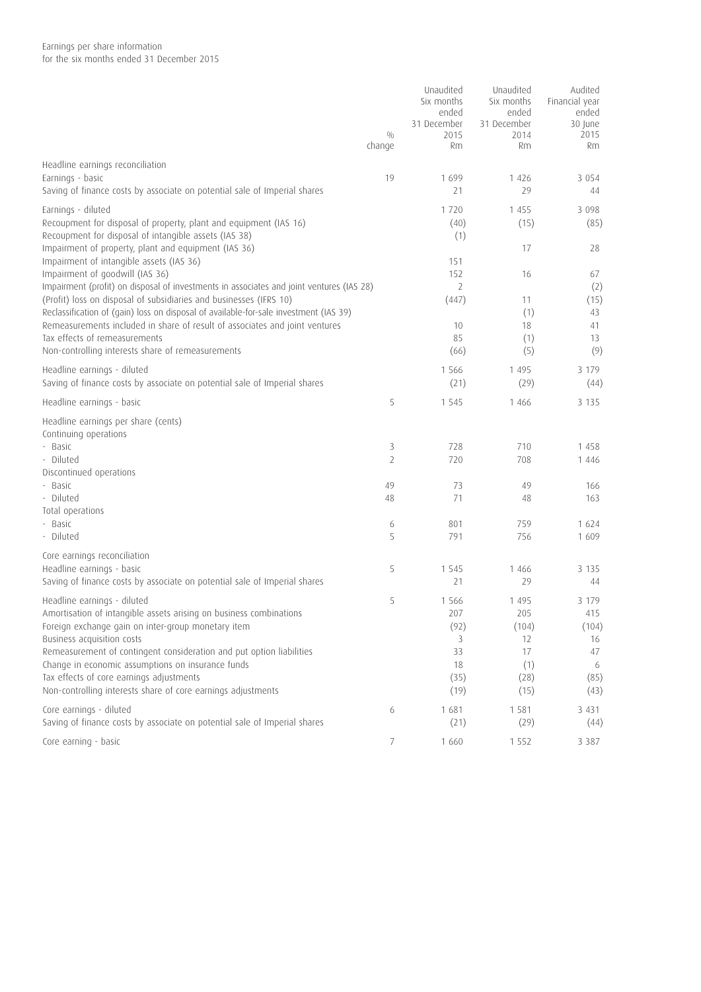|                                                                                                                            | 0/0<br>change  | Unaudited<br>Six months<br>ended<br>31 December<br>2015<br>Rm | Unaudited<br>Six months<br>ended<br>31 December<br>2014<br>Rm | Audited<br>Financial year<br>ended<br>30 June<br>2015<br>Rm |
|----------------------------------------------------------------------------------------------------------------------------|----------------|---------------------------------------------------------------|---------------------------------------------------------------|-------------------------------------------------------------|
|                                                                                                                            |                |                                                               |                                                               |                                                             |
| Headline earnings reconciliation                                                                                           |                |                                                               |                                                               |                                                             |
| Earnings - basic<br>Saving of finance costs by associate on potential sale of Imperial shares                              | 19             | 1 6 9 9<br>21                                                 | 1 4 2 6<br>29                                                 | 3 0 5 4<br>44                                               |
|                                                                                                                            |                |                                                               |                                                               |                                                             |
| Earnings - diluted                                                                                                         |                | 1720                                                          | 1 4 5 5                                                       | 3 0 9 8                                                     |
| Recoupment for disposal of property, plant and equipment (IAS 16)<br>Recoupment for disposal of intangible assets (IAS 38) |                | (40)<br>(1)                                                   | (15)                                                          | (85)                                                        |
| Impairment of property, plant and equipment (IAS 36)                                                                       |                |                                                               | 17                                                            | 28                                                          |
| Impairment of intangible assets (IAS 36)                                                                                   |                | 151                                                           |                                                               |                                                             |
| Impairment of goodwill (IAS 36)                                                                                            |                | 152                                                           | 16                                                            | 67                                                          |
| Impairment (profit) on disposal of investments in associates and joint ventures (IAS 28)                                   |                | 2                                                             |                                                               | (2)                                                         |
| (Profit) loss on disposal of subsidiaries and businesses (IFRS 10)                                                         |                | (447)                                                         | 11                                                            | (15)                                                        |
| Reclassification of (gain) loss on disposal of available-for-sale investment (IAS 39)                                      |                |                                                               | (1)                                                           | 43                                                          |
| Remeasurements included in share of result of associates and joint ventures<br>Tax effects of remeasurements               |                | 10<br>85                                                      | 18<br>(1)                                                     | 41<br>13                                                    |
| Non-controlling interests share of remeasurements                                                                          |                | (66)                                                          | (5)                                                           | (9)                                                         |
|                                                                                                                            |                |                                                               |                                                               |                                                             |
| Headline earnings - diluted                                                                                                |                | 1 5 6 6                                                       | 1 4 9 5                                                       | 3 179                                                       |
| Saving of finance costs by associate on potential sale of Imperial shares                                                  |                | (21)                                                          | (29)                                                          | (44)                                                        |
| Headline earnings - basic                                                                                                  | 5              | 1 5 4 5                                                       | 1 4 6 6                                                       | 3 1 3 5                                                     |
| Headline earnings per share (cents)<br>Continuing operations                                                               |                |                                                               |                                                               |                                                             |
| - Basic                                                                                                                    | 3              | 728                                                           | 710                                                           | 1458                                                        |
| - Diluted                                                                                                                  | $\overline{2}$ | 720                                                           | 708                                                           | 1 4 4 6                                                     |
| Discontinued operations                                                                                                    |                |                                                               |                                                               |                                                             |
| - Basic<br>- Diluted                                                                                                       | 49<br>48       | 73<br>71                                                      | 49<br>48                                                      | 166<br>163                                                  |
| Total operations                                                                                                           |                |                                                               |                                                               |                                                             |
| - Basic                                                                                                                    | 6              | 801                                                           | 759                                                           | 1 6 2 4                                                     |
| - Diluted                                                                                                                  | 5              | 791                                                           | 756                                                           | 1609                                                        |
| Core earnings reconciliation                                                                                               |                |                                                               |                                                               |                                                             |
| Headline earnings - basic                                                                                                  | 5              | 1 5 4 5                                                       | 1 4 6 6                                                       | 3 1 3 5                                                     |
| Saving of finance costs by associate on potential sale of Imperial shares                                                  |                | 21                                                            | 29                                                            | 44                                                          |
| Headline earnings - diluted                                                                                                | 5              | 1 5 6 6                                                       | 1 4 9 5                                                       | 3 1 7 9                                                     |
| Amortisation of intangible assets arising on business combinations                                                         |                | 207                                                           | 205                                                           | 415                                                         |
| Foreign exchange gain on inter-group monetary item                                                                         |                | (92)                                                          | (104)                                                         | (104)                                                       |
| Business acquisition costs                                                                                                 |                | 3                                                             | 12                                                            | 16                                                          |
| Remeasurement of contingent consideration and put option liabilities                                                       |                | 33                                                            | 17                                                            | 47                                                          |
| Change in economic assumptions on insurance funds                                                                          |                | 18                                                            | (1)                                                           | 6                                                           |
| Tax effects of core earnings adjustments                                                                                   |                | (35)                                                          | (28)                                                          | (85)                                                        |
| Non-controlling interests share of core earnings adjustments                                                               |                | (19)                                                          | (15)                                                          | (43)                                                        |
| Core earnings - diluted                                                                                                    | 6              | 1681                                                          | 1 5 8 1                                                       | 3 4 3 1                                                     |
| Saving of finance costs by associate on potential sale of Imperial shares                                                  |                | (21)                                                          | (29)                                                          | (44)                                                        |
| Core earning - basic                                                                                                       | 7              | 1 6 6 0                                                       | 1 5 5 2                                                       | 3 3 8 7                                                     |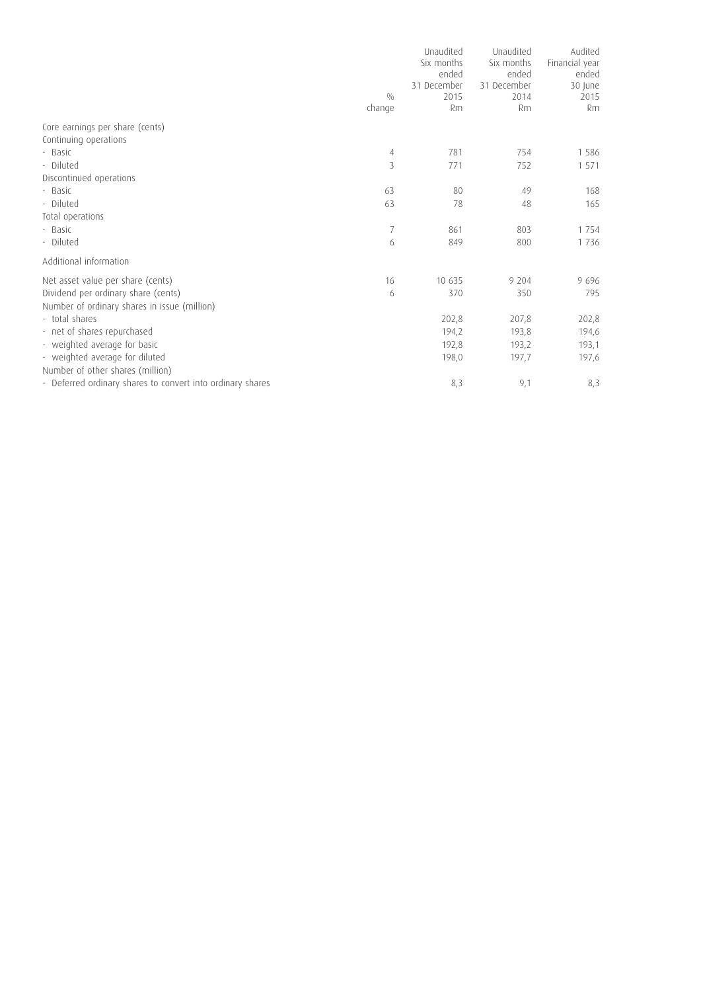|                                                            |        | Unaudited<br>Six months<br>ended<br>31 December | Unaudited<br>Six months<br>ended<br>31 December | Audited<br>Financial year<br>ended<br>30 June |
|------------------------------------------------------------|--------|-------------------------------------------------|-------------------------------------------------|-----------------------------------------------|
|                                                            | 0/0    | 2015                                            | 2014                                            | 2015                                          |
|                                                            | change | <b>Rm</b>                                       | <b>Rm</b>                                       | <b>Rm</b>                                     |
| Core earnings per share (cents)<br>Continuing operations   |        |                                                 |                                                 |                                               |
| - Basic                                                    | 4      | 781                                             | 754                                             | 1586                                          |
| - Diluted                                                  | 3      | 771                                             | 752                                             | 1 5 7 1                                       |
| Discontinued operations                                    |        |                                                 |                                                 |                                               |
| - Basic                                                    | 63     | 80                                              | 49                                              | 168                                           |
| - Diluted                                                  | 63     | 78                                              | 48                                              | 165                                           |
| Total operations                                           |        |                                                 |                                                 |                                               |
| - Basic                                                    | 7      | 861                                             | 803                                             | 1 7 5 4                                       |
| - Diluted                                                  | 6      | 849                                             | 800                                             | 1736                                          |
| Additional information                                     |        |                                                 |                                                 |                                               |
| Net asset value per share (cents)                          | 16     | 10 635                                          | 9 204                                           | 9696                                          |
| Dividend per ordinary share (cents)                        | 6      | 370                                             | 350                                             | 795                                           |
| Number of ordinary shares in issue (million)               |        |                                                 |                                                 |                                               |
| - total shares                                             |        | 202,8                                           | 207,8                                           | 202,8                                         |
| - net of shares repurchased                                |        | 194,2                                           | 193,8                                           | 194,6                                         |
| - weighted average for basic                               |        | 192,8                                           | 193,2                                           | 193,1                                         |
| - weighted average for diluted                             |        | 198,0                                           | 197,7                                           | 197,6                                         |
| Number of other shares (million)                           |        |                                                 |                                                 |                                               |
| - Deferred ordinary shares to convert into ordinary shares |        | 8,3                                             | 9,1                                             | 8,3                                           |
|                                                            |        |                                                 |                                                 |                                               |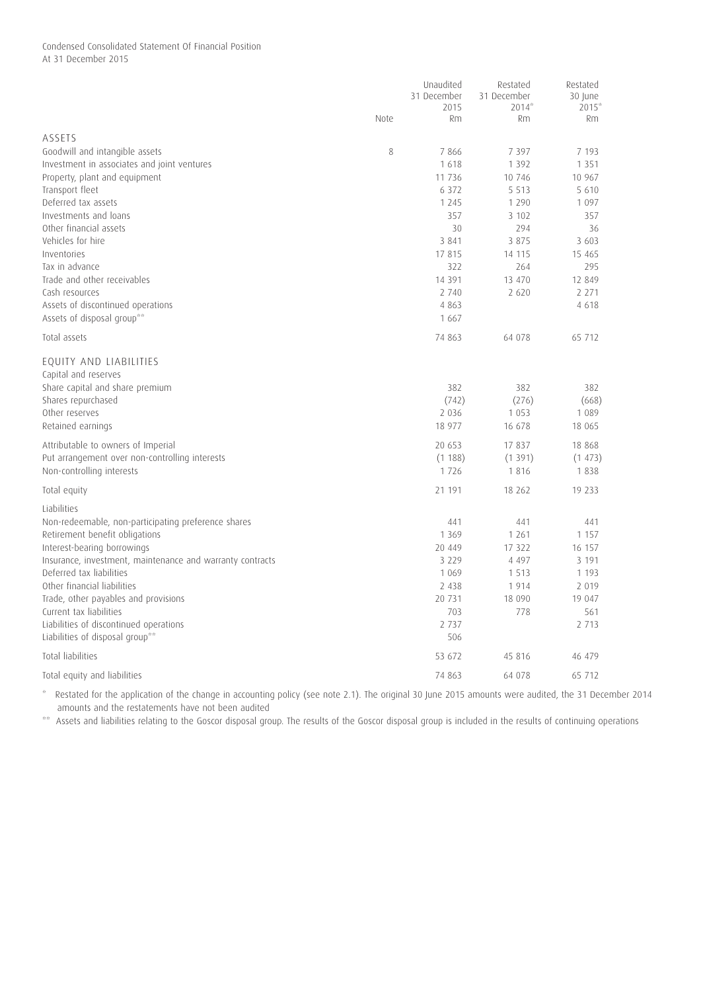## Condensed Consolidated Statement Of Financial Position At 31 December 2015

|                                                           |      | Unaudited<br>31 December | Restated<br>31 December | Restated<br>30 June |
|-----------------------------------------------------------|------|--------------------------|-------------------------|---------------------|
|                                                           |      | 2015                     | $2014*$                 | $2015*$             |
|                                                           | Note | Rm                       | Rm                      | Rm.                 |
| ASSETS                                                    |      |                          |                         |                     |
| Goodwill and intangible assets                            | 8    | 7866                     | 7 3 9 7                 | 7 193               |
| Investment in associates and joint ventures               |      | 1618                     | 1 3 9 2                 | 1 3 5 1             |
| Property, plant and equipment                             |      | 11 736                   | 10 746                  | 10 967              |
| Transport fleet                                           |      | 6 3 7 2                  | 5 5 1 3                 | 5 6 1 0             |
| Deferred tax assets                                       |      | 1 2 4 5                  | 1 2 9 0                 | 1 0 9 7             |
| Investments and loans                                     |      | 357                      | 3 102                   | 357                 |
| Other financial assets                                    |      | 30                       | 294                     | 36                  |
| Vehicles for hire                                         |      | 3 8 4 1                  | 3 8 7 5                 | 3 603               |
| Inventories                                               |      | 17815                    | 14 115                  | 15 4 65             |
| Tax in advance                                            |      | 322                      | 264                     | 295                 |
| Trade and other receivables                               |      | 14 3 9 1                 | 13 470                  | 12 849              |
| Cash resources                                            |      | 2 740                    | 2 6 2 0                 | 2 2 7 1             |
| Assets of discontinued operations                         |      | 4 8 6 3                  |                         | 4 6 1 8             |
| Assets of disposal group**                                |      | 1 6 6 7                  |                         |                     |
| Total assets                                              |      | 74 863                   | 64 078                  | 65 712              |
| EQUITY AND LIABILITIES                                    |      |                          |                         |                     |
| Capital and reserves                                      |      |                          |                         |                     |
| Share capital and share premium                           |      | 382                      | 382                     | 382                 |
| Shares repurchased                                        |      | (742)                    | (276)                   | (668)               |
| Other reserves                                            |      | 2 0 3 6                  | 1 0 5 3                 | 1 0 8 9             |
| Retained earnings                                         |      | 18 977                   | 16 678                  | 18 065              |
| Attributable to owners of Imperial                        |      | 20 653                   | 17837                   | 18 868              |
| Put arrangement over non-controlling interests            |      | (1188)                   | (1391)                  | (1473)              |
| Non-controlling interests                                 |      | 1726                     | 1816                    | 1838                |
| Total equity                                              |      | 21 191                   | 18 26 2                 | 19 233              |
| Liabilities                                               |      |                          |                         |                     |
| Non-redeemable, non-participating preference shares       |      | 441                      | 441                     | 441                 |
| Retirement benefit obligations                            |      | 1 3 6 9                  | 1 2 6 1                 | 1 1 5 7             |
| Interest-bearing borrowings                               |      | 20 449                   | 17 322                  | 16 157              |
| Insurance, investment, maintenance and warranty contracts |      | 3 2 2 9                  | 4 4 9 7                 | 3 191               |
| Deferred tax liabilities                                  |      | 1 0 6 9                  | 1 5 1 3                 | 1 1 9 3             |
| Other financial liabilities                               |      | 2 4 3 8                  | 1914                    | 2 0 1 9             |
| Trade, other payables and provisions                      |      | 20 731                   | 18 090                  | 19 047              |
| Current tax liabilities                                   |      | 703                      | 778                     | 561                 |
| Liabilities of discontinued operations                    |      | 2 7 3 7                  |                         | 2 7 1 3             |
| Liabilities of disposal group**                           |      | 506                      |                         |                     |
| <b>Total liabilities</b>                                  |      | 53 672                   | 45 816                  | 46 479              |
| Total equity and liabilities                              |      | 74 863                   | 64 078                  | 65 712              |

\* Restated for the application of the change in accounting policy (see note 2.1). The original 30 June 2015 amounts were audited, the 31 December 2014 amounts and the restatements have not been audited

\*\* Assets and liabilities relating to the Goscor disposal group. The results of the Goscor disposal group is included in the results of continuing operations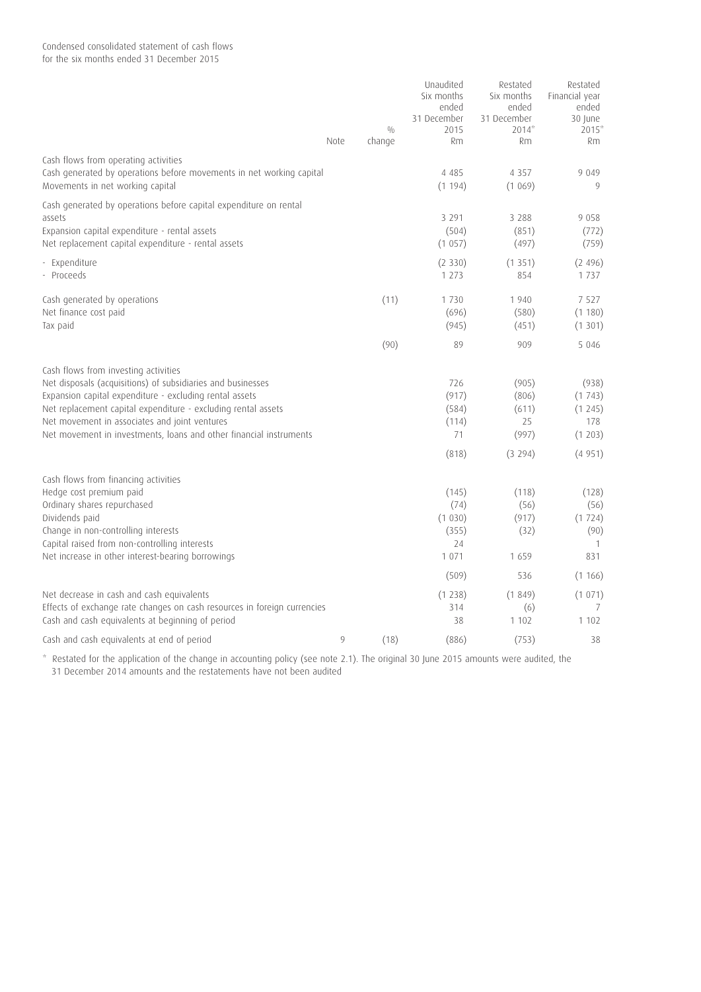Condensed consolidated statement of cash flows

for the six months ended 31 December 2015

|                                                                                                                                                                                                                                                                                                                                                        | Note | 0/0<br>change | Unaudited<br>Six months<br>ended<br>31 December<br>2015<br><b>Rm</b> | Restated<br>Six months<br>ended<br>31 December<br>$2014*$<br><b>Rm</b> | Restated<br>Financial year<br>ended<br>30 June<br>$2015*$<br><b>Rm</b> |
|--------------------------------------------------------------------------------------------------------------------------------------------------------------------------------------------------------------------------------------------------------------------------------------------------------------------------------------------------------|------|---------------|----------------------------------------------------------------------|------------------------------------------------------------------------|------------------------------------------------------------------------|
| Cash flows from operating activities<br>Cash generated by operations before movements in net working capital<br>Movements in net working capital                                                                                                                                                                                                       |      |               | 4 4 8 5<br>(1194)                                                    | 4 3 5 7<br>(1069)                                                      | 9 0 4 9<br>9                                                           |
| Cash generated by operations before capital expenditure on rental<br>assets<br>Expansion capital expenditure - rental assets<br>Net replacement capital expenditure - rental assets                                                                                                                                                                    |      |               | 3 2 9 1<br>(504)<br>(1057)                                           | 3 2 8 8<br>(851)<br>(497)                                              | 9 0 5 8<br>(772)<br>(759)                                              |
| - Expenditure<br>- Proceeds                                                                                                                                                                                                                                                                                                                            |      |               | (2330)<br>1 2 7 3                                                    | (1351)<br>854                                                          | (2496)<br>1737                                                         |
| Cash generated by operations<br>Net finance cost paid<br>Tax paid                                                                                                                                                                                                                                                                                      |      | (11)          | 1730<br>(696)<br>(945)                                               | 1940<br>(580)<br>(451)                                                 | 7 5 2 7<br>(1180)<br>(1301)                                            |
|                                                                                                                                                                                                                                                                                                                                                        |      | (90)          | 89                                                                   | 909                                                                    | 5 0 4 6                                                                |
| Cash flows from investing activities<br>Net disposals (acquisitions) of subsidiaries and businesses<br>Expansion capital expenditure - excluding rental assets<br>Net replacement capital expenditure - excluding rental assets<br>Net movement in associates and joint ventures<br>Net movement in investments, loans and other financial instruments |      |               | 726<br>(917)<br>(584)<br>(114)<br>71<br>(818)                        | (905)<br>(806)<br>(611)<br>25<br>(997)<br>(3 294)                      | (938)<br>(1743)<br>(1245)<br>178<br>(1203)<br>(4951)                   |
| Cash flows from financing activities<br>Hedge cost premium paid<br>Ordinary shares repurchased<br>Dividends paid<br>Change in non-controlling interests<br>Capital raised from non-controlling interests<br>Net increase in other interest-bearing borrowings                                                                                          |      |               | (145)<br>(74)<br>(1030)<br>(355)<br>24<br>1 0 7 1                    | (118)<br>(56)<br>(917)<br>(32)<br>1659                                 | (128)<br>(56)<br>(1724)<br>(90)<br>-1<br>831                           |
|                                                                                                                                                                                                                                                                                                                                                        |      |               | (509)                                                                | 536                                                                    | (1166)                                                                 |
| Net decrease in cash and cash equivalents<br>Effects of exchange rate changes on cash resources in foreign currencies<br>Cash and cash equivalents at beginning of period                                                                                                                                                                              |      |               | (1238)<br>314<br>38                                                  | (1849)<br>(6)<br>1 102                                                 | (1071)<br>7<br>1 102                                                   |
| Cash and cash equivalents at end of period                                                                                                                                                                                                                                                                                                             | 9    | (18)          | (886)                                                                | (753)                                                                  | 38                                                                     |

\* Restated for the application of the change in accounting policy (see note 2.1). The original 30 June 2015 amounts were audited, the 31 December 2014 amounts and the restatements have not been audited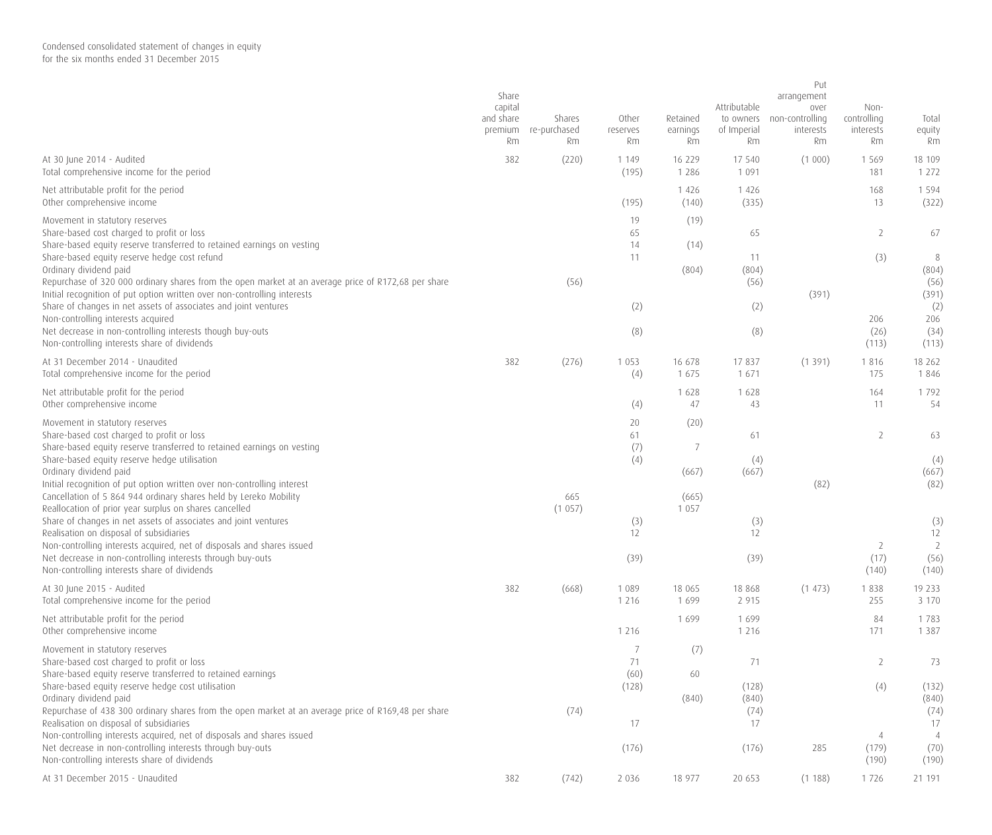|                                                                                                                                                                                                                                                                                                                                                                                                        | Share<br>capital<br>and share<br>premium<br>Rm | Shares<br>re-purchased<br>Rm | Other<br>reserves<br>Rm | Retained<br>earnings<br>Rm | Attributable<br>to owners<br>of Imperial<br>Rm | Put<br>arrangement<br>over<br>non-controlling<br>interests<br>Rm | Non-<br>controlling<br>interests<br>Rm | Total<br>equity<br>Rm                   |
|--------------------------------------------------------------------------------------------------------------------------------------------------------------------------------------------------------------------------------------------------------------------------------------------------------------------------------------------------------------------------------------------------------|------------------------------------------------|------------------------------|-------------------------|----------------------------|------------------------------------------------|------------------------------------------------------------------|----------------------------------------|-----------------------------------------|
| At 30 June 2014 - Audited<br>Total comprehensive income for the period                                                                                                                                                                                                                                                                                                                                 | 382                                            | (220)                        | 1 1 4 9<br>(195)        | 16 229<br>1 2 8 6          | 17 540<br>1 0 9 1                              | (1 000)                                                          | 1569<br>181                            | 18 109<br>1 2 7 2                       |
| Net attributable profit for the period<br>Other comprehensive income                                                                                                                                                                                                                                                                                                                                   |                                                |                              | (195)                   | 1 4 2 6<br>(140)           | 1 4 2 6<br>(335)                               |                                                                  | 168<br>13                              | 1 5 9 4<br>(322)                        |
| Movement in statutory reserves<br>Share-based cost charged to profit or loss                                                                                                                                                                                                                                                                                                                           |                                                |                              | 19<br>65                | (19)                       | 65                                             |                                                                  | $\overline{2}$                         | 67                                      |
| Share-based equity reserve transferred to retained earnings on vesting<br>Share-based equity reserve hedge cost refund<br>Ordinary dividend paid<br>Repurchase of 320 000 ordinary shares from the open market at an average price of R172,68 per share<br>Initial recognition of put option written over non-controlling interests<br>Share of changes in net assets of associates and joint ventures |                                                | (56)                         | 14<br>11<br>(2)         | (14)<br>(804)              | 11<br>(804)<br>(56)<br>(2)                     | (391)                                                            | (3)                                    | $\, 8$<br>(804)<br>(56)<br>(391)<br>(2) |
| Non-controlling interests acquired<br>Net decrease in non-controlling interests though buy-outs<br>Non-controlling interests share of dividends                                                                                                                                                                                                                                                        |                                                |                              | (8)                     |                            | (8)                                            |                                                                  | 206<br>(26)<br>(113)                   | 206<br>(34)<br>(113)                    |
| At 31 December 2014 - Unaudited<br>Total comprehensive income for the period                                                                                                                                                                                                                                                                                                                           | 382                                            | (276)                        | 1 0 5 3<br>(4)          | 16 678<br>1 675            | 17837<br>1671                                  | (1391)                                                           | 1816<br>175                            | 18 262<br>1846                          |
| Net attributable profit for the period<br>Other comprehensive income                                                                                                                                                                                                                                                                                                                                   |                                                |                              | (4)                     | 1 6 2 8<br>47              | 1628<br>43                                     |                                                                  | 164<br>11                              | 1792<br>54                              |
| Movement in statutory reserves<br>Share-based cost charged to profit or loss<br>Share-based equity reserve transferred to retained earnings on vesting                                                                                                                                                                                                                                                 |                                                |                              | 20<br>61<br>(7)         | (20)<br>7                  | 61                                             |                                                                  | $\overline{2}$                         | 63                                      |
| Share-based equity reserve hedge utilisation<br>Ordinary dividend paid<br>Initial recognition of put option written over non-controlling interest<br>Cancellation of 5 864 944 ordinary shares held by Lereko Mobility                                                                                                                                                                                 |                                                | 665                          | (4)                     | (667)<br>(665)             | (4)<br>(667)                                   | (82)                                                             |                                        | (4)<br>(667)<br>(82)                    |
| Reallocation of prior year surplus on shares cancelled<br>Share of changes in net assets of associates and joint ventures<br>Realisation on disposal of subsidiaries<br>Non-controlling interests acquired, net of disposals and shares issued                                                                                                                                                         |                                                | (1057)                       | (3)<br>12               | 1 0 5 7                    | (3)<br>12                                      |                                                                  | 2                                      | (3)<br>12<br>2                          |
| Net decrease in non-controlling interests through buy-outs<br>Non-controlling interests share of dividends                                                                                                                                                                                                                                                                                             |                                                |                              | (39)                    |                            | (39)                                           |                                                                  | (17)<br>(140)                          | (56)<br>(140)                           |
| At 30 June 2015 - Audited<br>Total comprehensive income for the period                                                                                                                                                                                                                                                                                                                                 | 382                                            | (668)                        | 1 0 8 9<br>1 2 1 6      | 18 065<br>1 6 9 9          | 18 868<br>2 9 1 5                              | (1473)                                                           | 1838<br>255                            | 19 233<br>3 1 7 0                       |
| Net attributable profit for the period<br>Other comprehensive income                                                                                                                                                                                                                                                                                                                                   |                                                |                              | 1 2 1 6                 | 1699                       | 1699<br>1 2 1 6                                |                                                                  | 84<br>171                              | 1783<br>1 3 8 7                         |
| Movement in statutory reserves<br>Share-based cost charged to profit or loss<br>Share-based equity reserve transferred to retained earnings                                                                                                                                                                                                                                                            |                                                |                              | 7<br>71<br>(60)         | (7)<br>60                  | 71                                             |                                                                  | 2                                      | 73                                      |
| Share-based equity reserve hedge cost utilisation<br>Ordinary dividend paid<br>Repurchase of 438 300 ordinary shares from the open market at an average price of R169,48 per share<br>Realisation on disposal of subsidiaries                                                                                                                                                                          |                                                | (74)                         | (128)<br>17             | (840)                      | (128)<br>(840)<br>(74)<br>17                   |                                                                  | (4)                                    | (132)<br>(840)<br>(74)<br>17            |
| Non-controlling interests acquired, net of disposals and shares issued<br>Net decrease in non-controlling interests through buy-outs<br>Non-controlling interests share of dividends                                                                                                                                                                                                                   |                                                |                              | (176)                   |                            | (176)                                          | 285                                                              | 4<br>(179)<br>(190)                    | $\overline{4}$<br>(70)<br>(190)         |
| At 31 December 2015 - Unaudited                                                                                                                                                                                                                                                                                                                                                                        | 382                                            | (742)                        | 2 0 3 6                 | 18 977                     | 20 653                                         | (1188)                                                           | 1726                                   | 21 191                                  |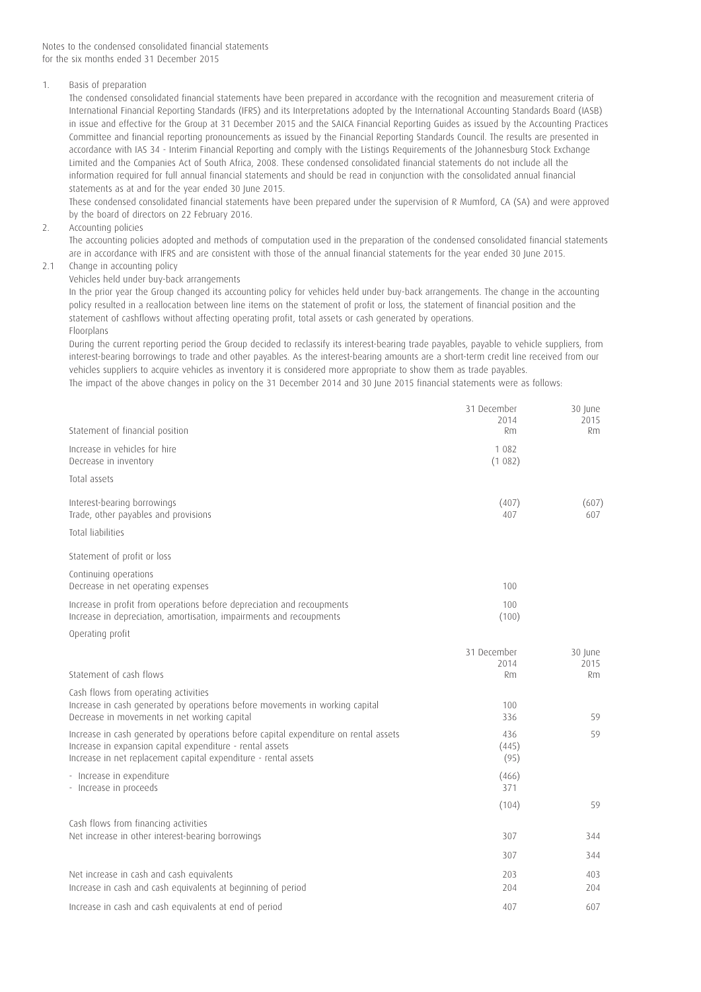Notes to the condensed consolidated financial statements for the six months ended 31 December 2015

## 1. Basis of preparation

The condensed consolidated financial statements have been prepared in accordance with the recognition and measurement criteria of International Financial Reporting Standards (IFRS) and its Interpretations adopted by the International Accounting Standards Board (IASB) in issue and effective for the Group at 31 December 2015 and the SAICA Financial Reporting Guides as issued by the Accounting Practices Committee and financial reporting pronouncements as issued by the Financial Reporting Standards Council. The results are presented in accordance with IAS 34 - Interim Financial Reporting and comply with the Listings Requirements of the Johannesburg Stock Exchange Limited and the Companies Act of South Africa, 2008. These condensed consolidated financial statements do not include all the information required for full annual financial statements and should be read in conjunction with the consolidated annual financial statements as at and for the year ended 30 June 2015.

These condensed consolidated financial statements have been prepared under the supervision of R Mumford, CA (SA) and were approved by the board of directors on 22 February 2016.

2. Accounting policies

The accounting policies adopted and methods of computation used in the preparation of the condensed consolidated financial statements are in accordance with IFRS and are consistent with those of the annual financial statements for the year ended 30 June 2015.

# 2.1 Change in accounting policy

## Vehicles held under buy-back arrangements

In the prior year the Group changed its accounting policy for vehicles held under buy-back arrangements. The change in the accounting policy resulted in a reallocation between line items on the statement of profit or loss, the statement of financial position and the statement of cashflows without affecting operating profit, total assets or cash generated by operations. Floorplans

During the current reporting period the Group decided to reclassify its interest-bearing trade payables, payable to vehicle suppliers, from interest-bearing borrowings to trade and other payables. As the interest-bearing amounts are a short-term credit line received from our vehicles suppliers to acquire vehicles as inventory it is considered more appropriate to show them as trade payables. The impact of the above changes in policy on the 31 December 2014 and 30 June 2015 financial statements were as follows:

|                                                                                                                                                                                                                      | 31 December<br>2014  | 30 June<br>2015 |
|----------------------------------------------------------------------------------------------------------------------------------------------------------------------------------------------------------------------|----------------------|-----------------|
| Statement of financial position                                                                                                                                                                                      | <b>Rm</b>            | Rm              |
| Increase in vehicles for hire<br>Decrease in inventory                                                                                                                                                               | 1 082<br>(1082)      |                 |
| Total assets                                                                                                                                                                                                         |                      |                 |
| Interest-bearing borrowings<br>Trade, other payables and provisions                                                                                                                                                  | (407)<br>407         | (607)<br>607    |
| <b>Total liabilities</b>                                                                                                                                                                                             |                      |                 |
| Statement of profit or loss                                                                                                                                                                                          |                      |                 |
| Continuing operations<br>Decrease in net operating expenses                                                                                                                                                          | 100                  |                 |
| Increase in profit from operations before depreciation and recoupments<br>Increase in depreciation, amortisation, impairments and recoupments                                                                        | 100<br>(100)         |                 |
| Operating profit                                                                                                                                                                                                     |                      |                 |
|                                                                                                                                                                                                                      | 31 December          | 30 June         |
| Statement of cash flows                                                                                                                                                                                              | 2014<br><b>Rm</b>    | 2015<br>Rm      |
| Cash flows from operating activities                                                                                                                                                                                 |                      |                 |
| Increase in cash generated by operations before movements in working capital<br>Decrease in movements in net working capital                                                                                         | 100<br>336           | 59              |
| Increase in cash generated by operations before capital expenditure on rental assets<br>Increase in expansion capital expenditure - rental assets<br>Increase in net replacement capital expenditure - rental assets | 436<br>(445)<br>(95) | 59              |
| - Increase in expenditure<br>- Increase in proceeds                                                                                                                                                                  | (466)<br>371         |                 |
|                                                                                                                                                                                                                      | (104)                | 59              |
| Cash flows from financing activities                                                                                                                                                                                 |                      |                 |
| Net increase in other interest-bearing borrowings                                                                                                                                                                    | 307                  | 344             |
|                                                                                                                                                                                                                      | 307                  | 344             |
| Net increase in cash and cash equivalents<br>Increase in cash and cash equivalents at beginning of period                                                                                                            | 203<br>204           | 403<br>204      |
| Increase in cash and cash equivalents at end of period                                                                                                                                                               | 407                  | 607             |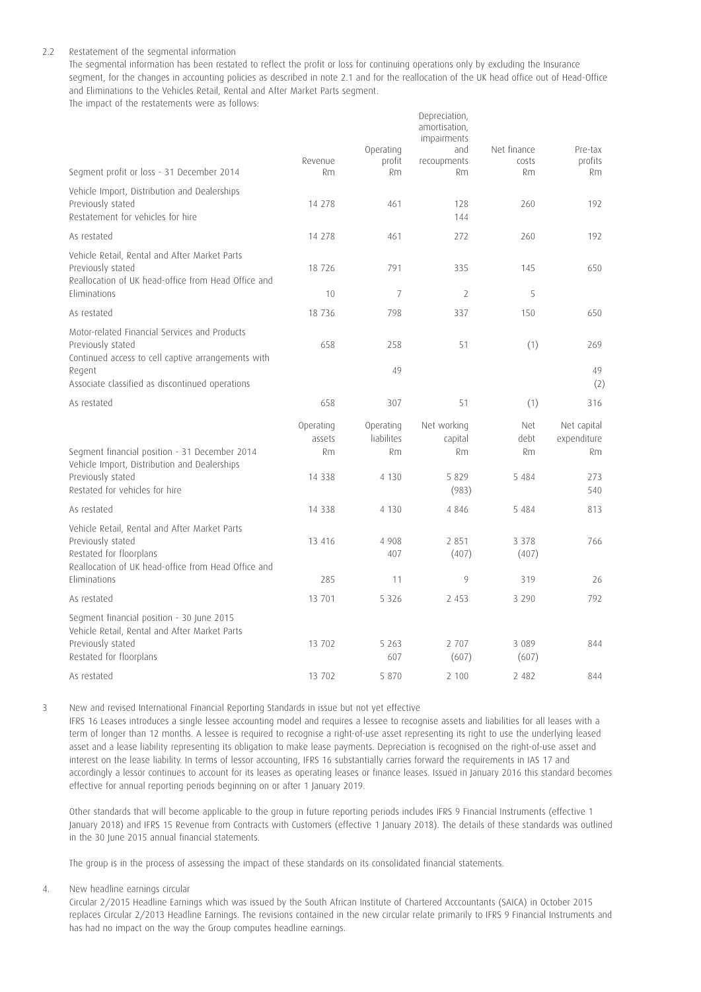### 2.2 Restatement of the segmental information

The segmental information has been restated to reflect the profit or loss for continuing operations only by excluding the Insurance segment, for the changes in accounting policies as described in note 2.1 and for the reallocation of the UK head office out of Head-Office and Eliminations to the Vehicles Retail, Rental and After Market Parts segment.

Depreciation,

The impact of the restatements were as follows:

|                                                                                                                                                      |                                       | Operating                                       | amortisation,<br>impairments<br>and     | Net finance                  | Pre-tax                                 |
|------------------------------------------------------------------------------------------------------------------------------------------------------|---------------------------------------|-------------------------------------------------|-----------------------------------------|------------------------------|-----------------------------------------|
| Segment profit or loss - 31 December 2014                                                                                                            | Revenue<br>Rm                         | profit<br><b>Rm</b>                             | recoupments<br>Rm                       | costs<br><b>Rm</b>           | profits<br>Rm                           |
| Vehicle Import, Distribution and Dealerships<br>Previously stated<br>Restatement for vehicles for hire                                               | 14 278                                | 461                                             | 128<br>144                              | 260                          | 192                                     |
| As restated                                                                                                                                          | 14 278                                | 461                                             | 272                                     | 260                          | 192                                     |
| Vehicle Retail, Rental and After Market Parts<br>Previously stated<br>Reallocation of UK head-office from Head Office and<br><b>Fliminations</b>     | 18 7 26<br>10                         | 791<br>$\overline{7}$                           | 335<br>$\overline{2}$                   | 145<br>5                     | 650                                     |
| As restated                                                                                                                                          | 18 7 36                               | 798                                             | 337                                     | 150                          | 650                                     |
| Motor-related Financial Services and Products<br>Previously stated<br>Continued access to cell captive arrangements with<br>Regent                   | 658                                   | 258<br>49                                       | 51                                      | (1)                          | 269<br>49                               |
| Associate classified as discontinued operations                                                                                                      |                                       |                                                 |                                         |                              | (2)                                     |
| As restated                                                                                                                                          | 658                                   | 307                                             | 51                                      | (1)                          | 316                                     |
| Segment financial position - 31 December 2014<br>Vehicle Import, Distribution and Dealerships<br>Previously stated                                   | Operating<br>assets<br>Rm<br>14 3 3 8 | Operating<br><b>liabilites</b><br>Rm<br>4 1 3 0 | Net working<br>capital<br>Rm<br>5 8 2 9 | Net<br>debt<br>Rm<br>5 4 8 4 | Net capital<br>expenditure<br>Rm<br>273 |
| Restated for vehicles for hire                                                                                                                       |                                       |                                                 | (983)                                   |                              | 540                                     |
| As restated                                                                                                                                          | 14 3 3 8                              | 4 1 3 0                                         | 4846                                    | 5 4 8 4                      | 813                                     |
| Vehicle Retail, Rental and After Market Parts<br>Previously stated<br>Restated for floorplans<br>Reallocation of UK head-office from Head Office and | 13 4 16                               | 4 9 0 8<br>407                                  | 2 8 5 1<br>(407)                        | 3 3 7 8<br>(407)             | 766                                     |
| Eliminations                                                                                                                                         | 285                                   | 11                                              | 9                                       | 319                          | 26                                      |
| As restated                                                                                                                                          | 13 701                                | 5 3 2 6                                         | 2 4 5 3                                 | 3 2 9 0                      | 792                                     |
| Segment financial position - 30 June 2015<br>Vehicle Retail, Rental and After Market Parts<br>Previously stated<br>Restated for floorplans           | 13 702                                | 5 2 6 3<br>607                                  | 2 707<br>(607)                          | 3 0 8 9<br>(607)             | 844                                     |
| As restated                                                                                                                                          | 13 702                                | 5 8 7 0                                         | 2 100                                   | 2 4 8 2                      | 844                                     |

3 New and revised International Financial Reporting Standards in issue but not yet effective

IFRS 16 Leases introduces a single lessee accounting model and requires a lessee to recognise assets and liabilities for all leases with a term of longer than 12 months. A lessee is required to recognise a right-of-use asset representing its right to use the underlying leased asset and a lease liability representing its obligation to make lease payments. Depreciation is recognised on the right-of-use asset and interest on the lease liability. In terms of lessor accounting, IFRS 16 substantially carries forward the requirements in IAS 17 and accordingly a lessor continues to account for its leases as operating leases or finance leases. Issued in January 2016 this standard becomes effective for annual reporting periods beginning on or after 1 January 2019.

Other standards that will become applicable to the group in future reporting periods includes IFRS 9 Financial Instruments (effective 1 January 2018) and IFRS 15 Revenue from Contracts with Customers (effective 1 January 2018). The details of these standards was outlined in the 30 June 2015 annual financial statements.

The group is in the process of assessing the impact of these standards on its consolidated financial statements.

4. New headline earnings circular

Circular 2/2015 Headline Earnings which was issued by the South African Institute of Chartered Acccountants (SAICA) in October 2015 replaces Circular 2/2013 Headline Earnings. The revisions contained in the new circular relate primarily to IFRS 9 Financial Instruments and has had no impact on the way the Group computes headline earnings.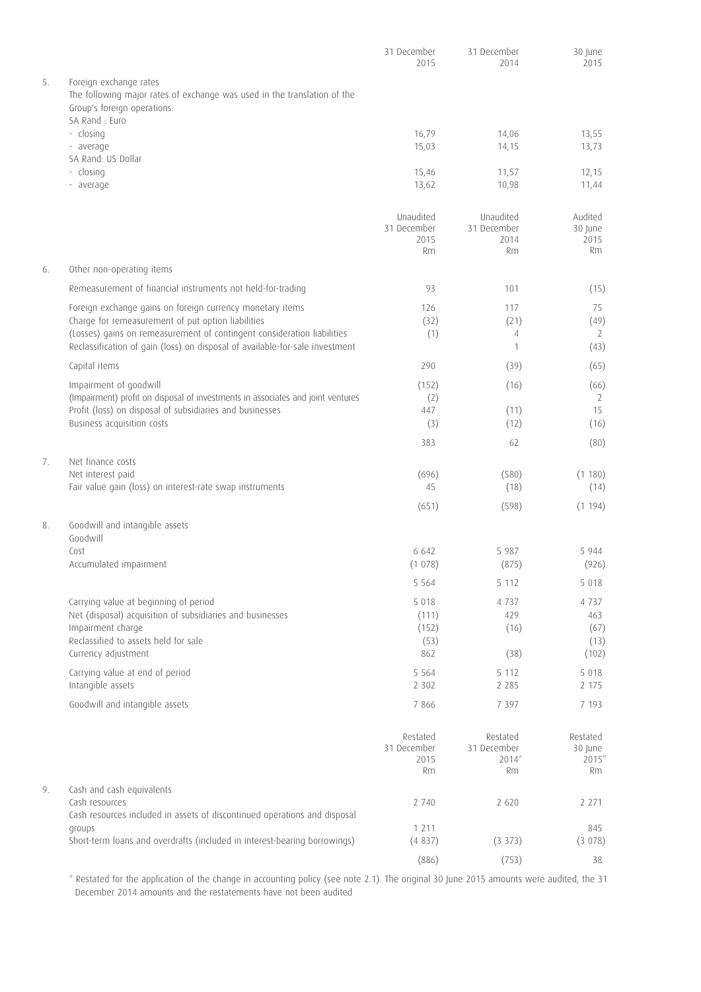|    |                                                                                                                                                                                                               | 31 December<br>2015                           | 31 December<br>2014                           | 30 June<br>2015                         |
|----|---------------------------------------------------------------------------------------------------------------------------------------------------------------------------------------------------------------|-----------------------------------------------|-----------------------------------------------|-----------------------------------------|
| 5. | Foreign exchange rates<br>The following major rates of exchange was used in the translation of the<br>Group's foreign operations:<br>SA Rand : Euro                                                           |                                               |                                               |                                         |
|    | - closing<br>- average                                                                                                                                                                                        | 16,79<br>15,03                                | 14,06<br>14,15                                | 13,55<br>13,73                          |
|    | SA Rand: US Dollar<br>- closing<br>- average                                                                                                                                                                  | 15,46<br>13,62                                | 11,57<br>10,98                                | 12,15<br>11,44                          |
|    |                                                                                                                                                                                                               | Unaudited<br>31 December<br>2015<br><b>Rm</b> | Unaudited<br>31 December<br>2014<br><b>Rm</b> | Audited<br>30 June<br>2015<br><b>Rm</b> |
| 6. | Other non-operating items                                                                                                                                                                                     |                                               |                                               |                                         |
|    | Remeasurement of financial instruments not held-for-trading                                                                                                                                                   | 93                                            | 101                                           | (15)                                    |
|    | Foreign exchange gains on foreign currency monetary items                                                                                                                                                     | 126                                           | 117                                           | 75                                      |
|    | Charge for remeasurement of put option liabilities<br>(Losses) gains on remeasurement of contingent consideration liabilities<br>Reclassification of gain (loss) on disposal of available-for-sale investment | (32)<br>(1)                                   | (21)<br>4<br>$\mathbf{1}$                     | (49)<br>2<br>(43)                       |
|    | Capital items                                                                                                                                                                                                 | 290                                           | (39)                                          | (65)                                    |
|    | Impairment of goodwill                                                                                                                                                                                        | (152)                                         | (16)                                          | (66)                                    |
|    | (Impairment) profit on disposal of investments in associates and joint ventures<br>Profit (loss) on disposal of subsidiaries and businesses<br>Business acquisition costs                                     | (2)<br>447<br>(3)                             | (11)<br>(12)                                  | 2<br>15<br>(16)                         |
|    |                                                                                                                                                                                                               | 383                                           | 62                                            | (80)                                    |
| 7. | Net finance costs                                                                                                                                                                                             |                                               |                                               |                                         |
|    | Net interest paid<br>Fair value gain (loss) on interest-rate swap instruments                                                                                                                                 | (696)<br>45                                   | (580)<br>(18)                                 | (1180)<br>(14)                          |
|    |                                                                                                                                                                                                               | (651)                                         | (598)                                         | (1194)                                  |
| 8. | Goodwill and intangible assets<br>Goodwill                                                                                                                                                                    |                                               |                                               |                                         |
|    | Cost<br>Accumulated impairment                                                                                                                                                                                | 6 6 4 2<br>(1078)                             | 5 9 8 7<br>(875)                              | 5944<br>(926)                           |
|    |                                                                                                                                                                                                               | 5 5 6 4                                       | 5 1 1 2                                       | 5 0 1 8                                 |
|    | Carrying value at beginning of period                                                                                                                                                                         | 5 0 1 8                                       | 4 7 3 7                                       | 4 7 3 7                                 |
|    | Net (disposal) acquisition of subsidiaries and businesses<br>Impairment charge                                                                                                                                | (111)<br>(152)                                | 429<br>(16)                                   | 463<br>(67)                             |
|    | Reclassified to assets held for sale<br>Currency adjustment                                                                                                                                                   | (53)<br>862                                   | (38)                                          | (13)<br>(102)                           |
|    | Carrying value at end of period<br>Intangible assets                                                                                                                                                          | 5 5 6 4<br>2 3 0 2                            | 5 1 1 2<br>2 2 8 5                            | 5 0 1 8<br>2 1 7 5                      |
|    | Goodwill and intangible assets                                                                                                                                                                                | 7 8 6 6                                       | 7 3 9 7                                       | 7 1 9 3                                 |
|    |                                                                                                                                                                                                               | Restated<br>31 December<br>2015<br>Rm         | Restated<br>31 December<br>$2014*$<br>Rm      | Restated<br>30 June<br>$2015*$<br>Rm    |
| 9. | Cash and cash equivalents                                                                                                                                                                                     |                                               |                                               |                                         |
|    | Cash resources<br>Cash resources included in assets of discontinued operations and disposal                                                                                                                   | 2 740                                         | 2 6 2 0                                       | 2 2 7 1                                 |
|    | groups<br>Short-term loans and overdrafts (included in interest-bearing borrowings)                                                                                                                           | 1 2 1 1<br>(4837)                             | $(3\;373)$                                    | 845<br>(3 078)                          |
|    |                                                                                                                                                                                                               | (886)                                         | (753)                                         | 38                                      |

\* Restated for the application of the change in accounting policy (see note 2.1). The original 30 June 2015 amounts were audited, the 31 December 2014 amounts and the restatements have not been audited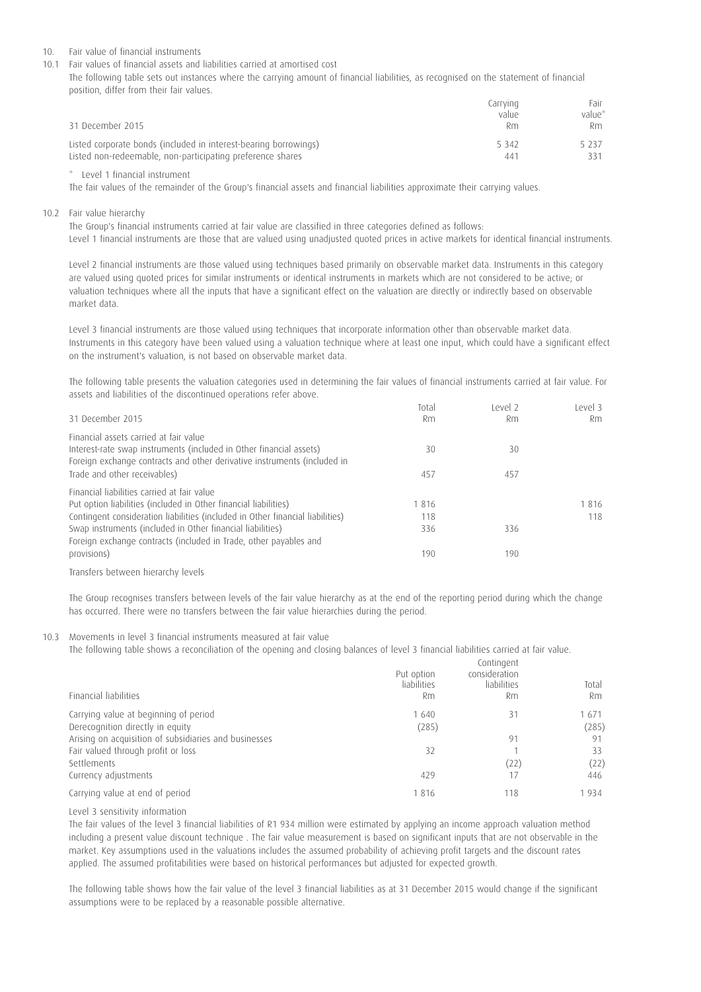#### 10. Fair value of financial instruments

10.1 Fair values of financial assets and liabilities carried at amortised cost

The following table sets out instances where the carrying amount of financial liabilities, as recognised on the statement of financial position, differ from their fair values.

| 31 December 2015                                                 | Carrying<br>value<br>Rm | Fair<br>value*<br>Rm. |
|------------------------------------------------------------------|-------------------------|-----------------------|
| Listed corporate bonds (included in interest-bearing borrowings) | 5 3 4 2                 | 5 237                 |
| Listed non-redeemable, non-participating preference shares       | 441                     | 331                   |

\* Level 1 financial instrument

The fair values of the remainder of the Group's financial assets and financial liabilities approximate their carrying values.

10.2 Fair value hierarchy

The Group's financial instruments carried at fair value are classified in three categories defined as follows: Level 1 financial instruments are those that are valued using unadjusted quoted prices in active markets for identical financial instruments.

Level 2 financial instruments are those valued using techniques based primarily on observable market data. Instruments in this category are valued using quoted prices for similar instruments or identical instruments in markets which are not considered to be active; or valuation techniques where all the inputs that have a significant effect on the valuation are directly or indirectly based on observable market data.

Level 3 financial instruments are those valued using techniques that incorporate information other than observable market data. Instruments in this category have been valued using a valuation technique where at least one input, which could have a significant effect on the instrument's valuation, is not based on observable market data.

The following table presents the valuation categories used in determining the fair values of financial instruments carried at fair value. For assets and liabilities of the discontinued operations refer above.

| 31 December 2015                                                                                                                                                                          | Total<br>Rm | Level <sub>2</sub><br>Rm | Level 3<br>Rm |
|-------------------------------------------------------------------------------------------------------------------------------------------------------------------------------------------|-------------|--------------------------|---------------|
| Financial assets carried at fair value<br>Interest-rate swap instruments (included in Other financial assets)<br>Foreign exchange contracts and other derivative instruments (included in | 30          | 30                       |               |
| Trade and other receivables)                                                                                                                                                              | 457         | 457                      |               |
| Financial liabilities carried at fair value                                                                                                                                               |             |                          |               |
| Put option liabilities (included in Other financial liabilities)                                                                                                                          | 1816        |                          | 1816          |
| Contingent consideration liabilities (included in Other financial liabilities)                                                                                                            | 118         |                          | 118           |
| Swap instruments (included in Other financial liabilities)<br>Foreign exchange contracts (included in Trade, other payables and                                                           | 336         | 336                      |               |
| provisions)                                                                                                                                                                               | 190         | 190                      |               |
| Transfers between hierarchy levels                                                                                                                                                        |             |                          |               |

The Group recognises transfers between levels of the fair value hierarchy as at the end of the reporting period during which the change has occurred. There were no transfers between the fair value hierarchies during the period.

10.3 Movements in level 3 financial instruments measured at fair value

The following table shows a reconciliation of the opening and closing balances of level 3 financial liabilities carried at fair value.

| Financial liabilities                                                     | Put option<br>liabilities<br>Rm | Contingent<br>consideration<br>liabilities<br>Rm | Total<br>Rm   |
|---------------------------------------------------------------------------|---------------------------------|--------------------------------------------------|---------------|
| Carrying value at beginning of period<br>Derecognition directly in equity | 1 640<br>(285)                  | 31                                               | 1671<br>(285) |
| Arising on acquisition of subsidiaries and businesses                     |                                 | 91                                               | 91            |
| Fair valued through profit or loss<br>Settlements                         | 32                              | (22)                                             | 33<br>(22)    |
| Currency adjustments                                                      | 429                             | 17                                               | 446           |
| Carrying value at end of period                                           | 1816                            | 118                                              | 934           |

Level 3 sensitivity information

The fair values of the level 3 financial liabilities of R1 934 million were estimated by applying an income approach valuation method including a present value discount technique . The fair value measurement is based on significant inputs that are not observable in the market. Key assumptions used in the valuations includes the assumed probability of achieving profit targets and the discount rates applied. The assumed profitabilities were based on historical performances but adjusted for expected growth.

The following table shows how the fair value of the level 3 financial liabilities as at 31 December 2015 would change if the significant assumptions were to be replaced by a reasonable possible alternative.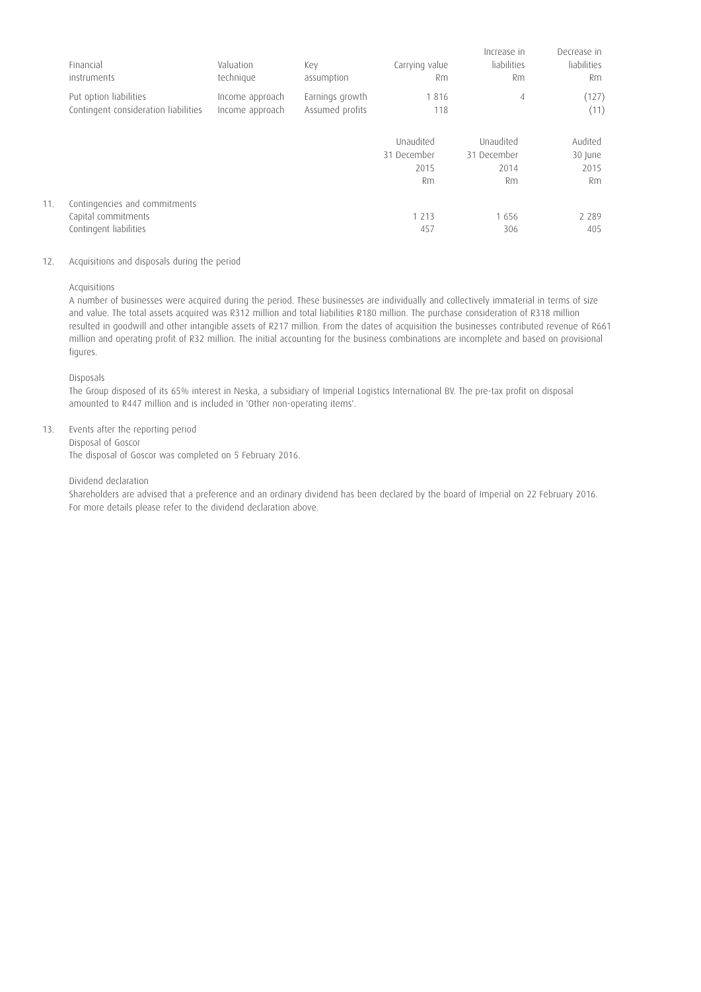|     | Financial<br>instruments                                       | Valuation<br>technique             | Key<br>assumption                  | Carrying value<br>Rm | Increase in<br>liabilities<br>Rm | Decrease in<br>liabilities<br><b>Rm</b> |
|-----|----------------------------------------------------------------|------------------------------------|------------------------------------|----------------------|----------------------------------|-----------------------------------------|
|     | Put option liabilities<br>Contingent consideration liabilities | Income approach<br>Income approach | Earnings growth<br>Assumed profits | 1816<br>118          | $\overline{4}$                   | (127)<br>(11)                           |
|     |                                                                |                                    |                                    | Unaudited            | Unaudited                        | Audited                                 |
|     |                                                                |                                    |                                    | 31 December          | 31 December                      | 30 June                                 |
|     |                                                                |                                    |                                    | 2015                 | 2014                             | 2015                                    |
|     |                                                                |                                    |                                    | Rm                   | Rm                               | Rm                                      |
| 11. | Contingencies and commitments                                  |                                    |                                    |                      |                                  |                                         |
|     | Capital commitments                                            |                                    |                                    | 1 2 1 3              | 1656                             | 2 2 8 9                                 |
|     | Contingent liabilities                                         |                                    |                                    | 457                  | 306                              | 405                                     |
|     |                                                                |                                    |                                    |                      |                                  |                                         |

## 12. Acquisitions and disposals during the period

Acquisitions

A number of businesses were acquired during the period. These businesses are individually and collectively immaterial in terms of size and value. The total assets acquired was R312 million and total liabilities R180 million. The purchase consideration of R318 million resulted in goodwill and other intangible assets of R217 million. From the dates of acquisition the businesses contributed revenue of R661 million and operating profit of R32 million. The initial accounting for the business combinations are incomplete and based on provisional figures.

Disposals

The Group disposed of its 65% interest in Neska, a subsidiary of Imperial Logistics International BV. The pre-tax profit on disposal amounted to R447 million and is included in 'Other non-operating items'.

13. Events after the reporting period

Disposal of Goscor The disposal of Goscor was completed on 5 February 2016.

## Dividend declaration

Shareholders are advised that a preference and an ordinary dividend has been declared by the board of Imperial on 22 February 2016. For more details please refer to the dividend declaration above.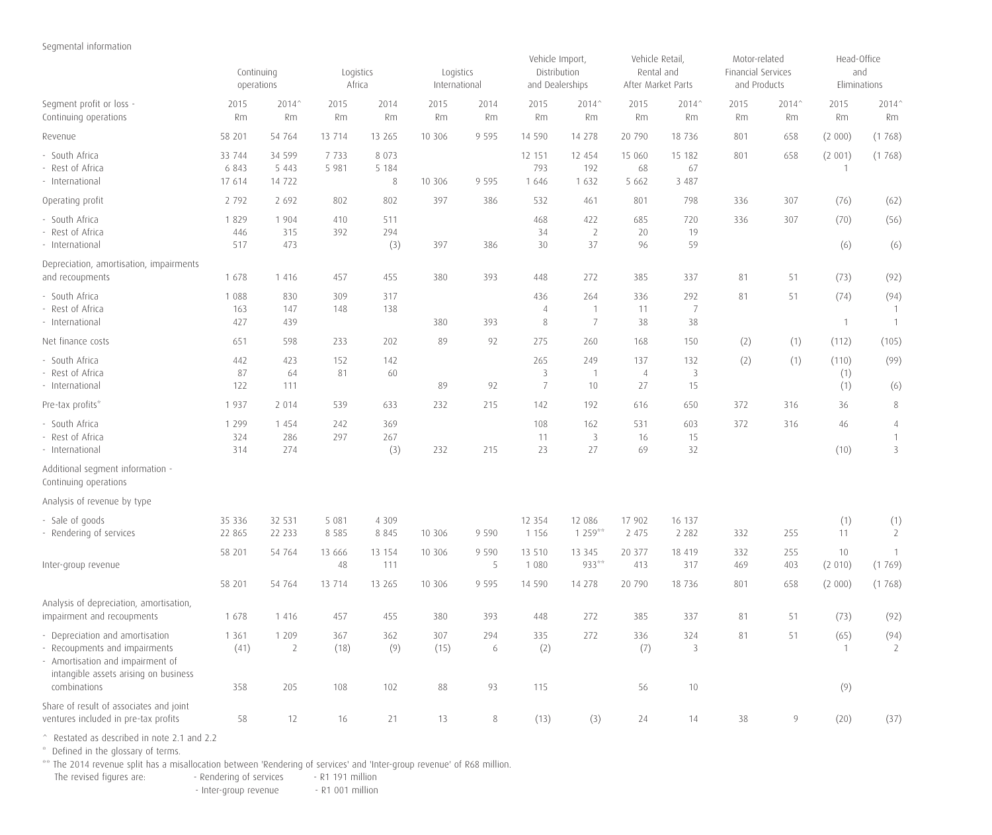# Segmental information

|                                                                                                                                                               | Continuing<br>operations    |                                | Logistics<br>Africa |                               | Logistics<br>International |                | Vehicle Import,<br>Distribution<br>and Dealerships |                             | Vehicle Retail,<br>Rental and<br>After Market Parts |                         | Motor-related<br>Financial Services<br>and Products |             | Head-Office<br>and<br>Eliminations |                                        |  |
|---------------------------------------------------------------------------------------------------------------------------------------------------------------|-----------------------------|--------------------------------|---------------------|-------------------------------|----------------------------|----------------|----------------------------------------------------|-----------------------------|-----------------------------------------------------|-------------------------|-----------------------------------------------------|-------------|------------------------------------|----------------------------------------|--|
| Segment profit or loss -<br>Continuing operations                                                                                                             | 2015<br>Rm                  | 2014^<br>Rm                    | 2015<br>Rm          | 2014<br>Rm                    | 2015<br>Rm                 | 2014<br>Rm     | 2015<br>Rm                                         | 2014^<br>Rm                 | 2015<br>Rm                                          | 2014^<br>Rm             | 2015<br>Rm                                          | 2014^<br>Rm | 2015<br>Rm                         | 2014^<br>Rm                            |  |
| Revenue                                                                                                                                                       | 58 201                      | 54 764                         | 13 7 14             | 13 265                        | 10 30 6                    | 9 5 9 5        | 14 590                                             | 14 278                      | 20 790                                              | 18 7 36                 | 801                                                 | 658         | (2 000)                            | (1768)                                 |  |
| - South Africa<br>- Rest of Africa<br>- International                                                                                                         | 33 744<br>6 8 4 3<br>17 614 | 34 599<br>5 4 4 3<br>14 722    | 7 7 3 3<br>5 9 8 1  | 8 0 7 3<br>5 1 8 4<br>$\,8\,$ | 10 30 6                    | 9 5 9 5        | 12 151<br>793<br>1 6 4 6                           | 12 454<br>192<br>1 6 3 2    | 15 060<br>68<br>5 6 6 2                             | 15 182<br>67<br>3 4 8 7 | 801                                                 | 658         | (2 001)<br>-1                      | (1768)                                 |  |
| Operating profit                                                                                                                                              | 2 7 9 2                     | 2 6 9 2                        | 802                 | 802                           | 397                        | 386            | 532                                                | 461                         | 801                                                 | 798                     | 336                                                 | 307         | (76)                               | (62)                                   |  |
| - South Africa<br>- Rest of Africa<br>- International                                                                                                         | 1829<br>446<br>517          | 1 9 0 4<br>315<br>473          | 410<br>392          | 511<br>294<br>(3)             | 397                        | 386            | 468<br>34<br>30                                    | 422<br>$\overline{2}$<br>37 | 685<br>20<br>96                                     | 720<br>19<br>59         | 336                                                 | 307         | (70)<br>(6)                        | (56)<br>(6)                            |  |
| Depreciation, amortisation, impairments<br>and recoupments                                                                                                    | 1678                        | 1 4 1 6                        | 457                 | 455                           | 380                        | 393            | 448                                                | 272                         | 385                                                 | 337                     | 81                                                  | 51          | (73)                               | (92)                                   |  |
| - South Africa<br>Rest of Africa<br>- International                                                                                                           | 1 0 8 8<br>163<br>427       | 830<br>147<br>439              | 309<br>148          | 317<br>138                    | 380                        | 393            | 436<br>$\overline{4}$<br>$\,8\,$                   | 264<br>$\overline{1}$<br>7  | 336<br>11<br>38                                     | 292<br>7<br>38          | 81                                                  | 51          | (74)<br>$\overline{1}$             | (94)<br>$\overline{1}$<br>$\mathbf{1}$ |  |
| Net finance costs                                                                                                                                             | 651                         | 598                            | 233                 | 202                           | 89                         | 92             | 275                                                | 260                         | 168                                                 | 150                     | (2)                                                 | (1)         | (112)                              | (105)                                  |  |
| - South Africa<br>Rest of Africa<br>- International                                                                                                           | 442<br>87<br>122            | 423<br>64<br>111               | 152<br>81           | 142<br>60                     | 89                         | 92             | 265<br>3<br>$\overline{7}$                         | 249<br>$\overline{1}$<br>10 | 137<br>$\overline{4}$<br>27                         | 132<br>3<br>15          | (2)                                                 | (1)         | (110)<br>(1)<br>(1)                | (99)<br>(6)                            |  |
| Pre-tax profits*                                                                                                                                              | 1937                        | 2 0 1 4                        | 539                 | 633                           | 232                        | 215            | 142                                                | 192                         | 616                                                 | 650                     | 372                                                 | 316         | 36                                 | 8                                      |  |
| - South Africa<br>- Rest of Africa<br>- International                                                                                                         | 1 2 9 9<br>324<br>314       | 1 4 5 4<br>286<br>274          | 242<br>297          | 369<br>267<br>(3)             | 232                        | 215            | 108<br>11<br>23                                    | 162<br>3<br>27              | 531<br>16<br>69                                     | 603<br>15<br>32         | 372                                                 | 316         | 46<br>(10)                         | 4<br>$\mathbf{1}$<br>3                 |  |
| Additional segment information -<br>Continuing operations                                                                                                     |                             |                                |                     |                               |                            |                |                                                    |                             |                                                     |                         |                                                     |             |                                    |                                        |  |
| Analysis of revenue by type                                                                                                                                   |                             |                                |                     |                               |                            |                |                                                    |                             |                                                     |                         |                                                     |             |                                    |                                        |  |
| - Sale of goods<br>- Rendering of services                                                                                                                    | 35 336<br>22 865            | 32 531<br>22 2 3 3             | 5 0 8 1<br>8 5 8 5  | 4 3 0 9<br>8 8 4 5            | 10 30 6                    | 9 5 9 0        | 12 3 5 4<br>1 1 5 6                                | 12 08 6<br>$1259***$        | 17 902<br>2 475                                     | 16 137<br>2 2 8 2       | 332                                                 | 255         | (1)<br>11                          | (1)<br>2                               |  |
| Inter-group revenue                                                                                                                                           | 58 201                      | 54 764                         | 13 666<br>48        | 13 154<br>111                 | 10 30 6                    | 9 5 9 0<br>5   | 13 5 10<br>1 0 8 0                                 | 13 3 45<br>933**            | 20 377<br>413                                       | 18 419<br>317           | 332<br>469                                          | 255<br>403  | 10<br>(2 010)                      | 1<br>(1769)                            |  |
|                                                                                                                                                               | 58 201                      | 54 764                         | 13 714              | 13 265                        | 10 306                     | 9 5 9 5        | 14 590                                             | 14 278                      | 20 790                                              | 18 7 36                 | 801                                                 | 658         | (2 000)                            | (1768)                                 |  |
| Analysis of depreciation, amortisation,<br>impairment and recoupments                                                                                         | 1678                        | 1 4 1 6                        | 457                 | 455                           | 380                        | 393            | 448                                                | 272                         | 385                                                 | 337                     | 81                                                  | 51          | (73)                               | (92)                                   |  |
| - Depreciation and amortisation<br>- Recoupments and impairments<br>- Amortisation and impairment of<br>intangible assets arising on business<br>combinations | 1 3 6 1<br>(41)<br>358      | 1 2 0 9<br>$\mathsf{2}$<br>205 | 367<br>(18)<br>108  | 362<br>(9)<br>102             | 307<br>(15)<br>88          | 294<br>6<br>93 | 335<br>(2)<br>115                                  | 272                         | 336<br>(7)<br>56                                    | 324<br>3<br>$10\,$      | 81                                                  | 51          | (65)<br>$\overline{1}$<br>(9)      | (94)<br>2                              |  |
| Share of result of associates and joint<br>ventures included in pre-tax profits                                                                               | 58                          | 12                             | 16                  | 21                            | 13                         | 8              | (13)                                               | (3)                         | 24                                                  | 14                      | 38                                                  | 9           | (20)                               | (37)                                   |  |

^ Restated as described in note 2.1 and 2.2

\* Defined in the glossary of terms.

\*\* The 2014 revenue split has a misallocation between 'Rendering of services' and 'Inter-group revenue' of R68 million.

The revised figures are: The Rendering of services The revised million

- Inter-group revenue - R1 001 million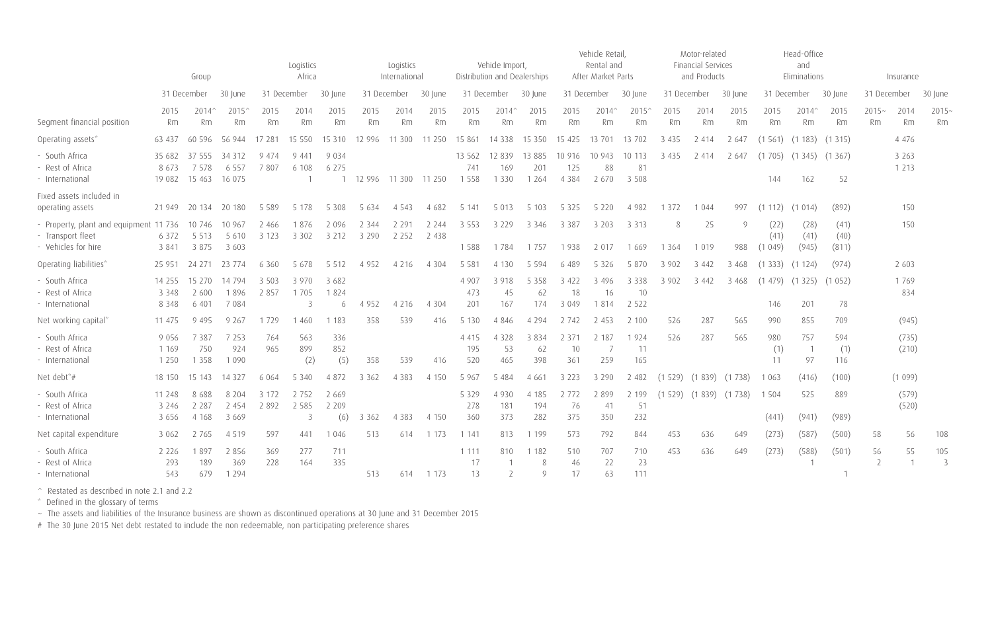|                                                                                    |                               | Group                        |                               |                    | Logistics<br>Africa  |                           |                    | Logistics<br>International |                    |                            | Vehicle Import,           | Distribution and Dealerships |                          | Vehicle Retail<br>Rental and<br>After Market Parts |                          |              | Motor-related<br>Financial Services<br>and Products |                |                        | Head-Office<br>and<br>Eliminations |                       |                                | Insurance          |                       |
|------------------------------------------------------------------------------------|-------------------------------|------------------------------|-------------------------------|--------------------|----------------------|---------------------------|--------------------|----------------------------|--------------------|----------------------------|---------------------------|------------------------------|--------------------------|----------------------------------------------------|--------------------------|--------------|-----------------------------------------------------|----------------|------------------------|------------------------------------|-----------------------|--------------------------------|--------------------|-----------------------|
|                                                                                    |                               | 31 December                  | 30 lune                       |                    | 31 December          | 30 lune                   |                    | 31 December                | 30 lune            |                            | 31 December               | 30 lune                      |                          | 31 December                                        | 30 lune                  | 31 December  |                                                     | 30 June        | 31 December            |                                    | 30 June               | 31 December                    |                    | 30 June               |
| Segment financial position                                                         | 2015<br>Rm                    | 2014'<br>Rm                  | 2015<br>Rm                    | 2015<br>Rm         | 2014<br>Rm           | 2015<br>Rm                | 2015<br>Rm         | 2014<br>Rm                 | 2015<br>Rm         | 2015<br>Rm                 | 2014'<br>Rm               | 2015<br>Rm                   | 2015<br>Rm               | $2014^{\circ}$<br>Rm                               | 2015<br>Rm               | 2015<br>Rm   | 2014<br>Rm                                          | 2015<br>Rm     | 2015<br>Rm             | 2014'<br>Rm                        | 2015<br>Rm            | $2015 -$<br><b>Rm</b>          | 2014<br>Rm         | $2015 -$<br>Rm        |
| Operating assets*                                                                  | 63 437                        | 596                          | 56 944                        | 17 281             | 15 550               | 15 3 10                   | 12 996             | 11 300                     | 11 250             | 15 861                     | 14 3 38                   | 15 3 5 0                     | 15 4 25                  | 13 701                                             | 13 702                   | 3 4 3 5      | 2 4 1 4                                             | 2 647          | (1561)                 | (1183)                             | (1315)                |                                | 4 4 7 6            |                       |
| - South Africa<br>- Rest of Africa<br>- International                              | 35 682<br>8673<br>19 082      | 37 555<br>7 5 7 8<br>15 4 63 | 34 3 12<br>6 5 5 7<br>16 075  | 9 4 7 4<br>7807    | 9 4 4 1<br>6 108     | 9 0 3 4<br>6 2 7 5        | 12 996             | 11 300                     | 11 250             | 13 5 6 2<br>741<br>1 5 5 8 | 12 8 39<br>169<br>1 3 3 0 | 13 8 8 5<br>201<br>1 2 6 4   | 10 916<br>125<br>4 3 8 4 | 10 943<br>88<br>2 670                              | 10 113<br>81<br>3 5 0 8  | 3 4 3 5      | 2 4 1 4                                             | 2 647          | (1705)<br>144          | (1345)<br>162                      | (1367)<br>52          |                                | 3 2 6 3<br>1 2 1 3 |                       |
| Fixed assets included in<br>operating assets                                       | 21 949                        | 20 134                       | 20 180                        | 5 5 8 9            | 5 1 7 8              | 5 3 0 8                   | 5 6 3 4            | 4 5 4 3                    | 4 682              | 5 141                      | 5 0 1 3                   | 5 1 0 3                      | 5 3 2 5                  | 5 2 2 0                                            | 4 9 8 2                  | 1 3 7 2      | 1 0 4 4                                             | 997            | (1112)                 | (1014)                             | (892)                 |                                | 150                |                       |
| - Property, plant and equipment 11 736<br>- Transport fleet<br>- Vehicles for hire | 6 3 7 2<br>3 8 4 1            | 10 746<br>5 5 1 3<br>3 8 7 5 | 10 967<br>5 6 1 0<br>3 6 0 3  | 2 4 6 6<br>3 1 2 3 | 1876<br>3 3 0 2      | 2 0 9 6<br>3 2 1 2        | 2 3 4 4<br>3 2 9 0 | 2 2 9 1<br>2 2 5 2         | 2 2 4 4<br>2 4 3 8 | 3 5 5 3<br>1588            | 3 2 2 9<br>1784           | 3 3 4 6<br>1757              | 3 3 8 7<br>1938          | 3 2 0 3<br>2 0 1 7                                 | 3 3 1 3<br>1 6 6 9       | 8<br>1 3 6 4 | 25<br>1 0 1 9                                       | $\circ$<br>988 | (22)<br>(41)<br>(1049) | (28)<br>(41)<br>(945)              | (41)<br>(40)<br>(811) |                                | 150                |                       |
| Operating liabilities*                                                             | 25 951                        | 24 271                       | 23 774                        | 6 3 6 0            | 5 6 7 8              | 5 5 1 2                   | 4 9 5 2            | 4 2 1 6                    | 4 3 0 4            | 5 5 8 1                    | 4 1 3 0                   | 5 5 9 4                      | 6 489                    | 5 3 2 6                                            | 5 8 7 0                  | 3 902        | 3 4 4 2                                             | 3 4 6 8        | (1333)                 | (1124)                             | (974)                 |                                | 2 6 0 3            |                       |
| - South Africa<br>- Rest of Africa<br>- International                              | 14 255<br>3 3 4 8<br>8 3 4 8  | 15 2 70<br>2 600<br>6 4 0 1  | 14 794<br>1896<br>7 0 8 4     | 3 503<br>2 8 5 7   | 3 9 7 0<br>1705<br>3 | 3 6 8 2<br>1824<br>6      | 4 9 5 2            | 4 2 1 6                    | 4 3 0 4            | 4 907<br>473<br>201        | 3 9 1 8<br>45<br>167      | 5 3 5 8<br>62<br>174         | 3 4 2 2<br>18<br>3 0 4 9 | 3 4 9 6<br>16<br>1814                              | 3 3 3 8<br>10<br>2 5 2 2 | 3 9 0 2      | 3 4 4 2                                             | 3 4 6 8        | (1479)<br>146          | (1325)<br>201                      | (1052)<br>78          |                                | 1769<br>834        |                       |
| Net working capital                                                                | 11 475                        | 9495                         | 9 2 6 7                       | 1729               | 1 4 6 0              | 1 1 8 3                   | 358                | 539                        | 416                | 5 1 3 0                    | 4 8 4 6                   | 4 2 9 4                      | 2 742                    | 2 4 5 3                                            | 2 100                    | 526          | 287                                                 | 565            | 990                    | 855                                | 709                   |                                | (945)              |                       |
| - South Africa<br>- Rest of Africa<br>- International                              | 9 0 5 6<br>1 1 6 9<br>1 2 5 0 | 7 3 8 7<br>750<br>1 3 5 8    | 7 2 5 3<br>924<br>1 0 9 0     | 764<br>965         | 563<br>899<br>(2)    | 336<br>852<br>(5)         | 358                | 539                        | 416                | 4 4 1 5<br>195<br>520      | 4 3 2 8<br>53<br>465      | 3 8 3 4<br>62<br>398         | 2 3 7 1<br>10<br>361     | 2 1 8 7<br>259                                     | 1924<br>11<br>165        | 526          | 287                                                 | 565            | 980<br>(1)<br>11       | 757<br>97                          | 594<br>(1)<br>116     |                                | (735)<br>(210)     |                       |
| Net debt*#                                                                         | 18 150                        | 15 143                       | 14 3 2 7                      | 6 0 6 4            | 5 3 4 0              | 4 8 7 2                   | 3 3 6 2            | 4 3 8 3                    | 4 1 5 0            | 5 9 6 7                    | 5 4 8 4                   | 4 6 6 1                      | 3 2 2 3                  | 3 2 9 0                                            | 2 4 8 2                  | (1529)       | (1839)                                              | (1738)         | 1 0 6 3                | (416)                              | (100)                 |                                | (1099)             |                       |
| - South Africa<br>- Rest of Africa<br>- International                              | 11 248<br>3 2 4 6<br>3 6 5 6  | 8688<br>2 2 8 7<br>4 1 6 8   | 8 2 0 4<br>2 4 5 4<br>3 6 6 9 | 3 1 7 2<br>2 8 9 2 | 2 7 5 2<br>2 5 8 5   | 2 6 6 9<br>2 2 0 9<br>(6) | 3 3 6 2            | 4 3 8 3                    | 4 1 5 0            | 5 3 2 9<br>278<br>360      | 4 9 3 0<br>181<br>373     | 4 1 8 5<br>194<br>282        | 2 7 7 2<br>76<br>375     | 2 8 9 9<br>41<br>350                               | 2 199<br>51<br>232       | (1529)       | (1839)                                              | (1738)         | 1 5 0 4<br>(441)       | 525<br>(941)                       | 889<br>(989)          |                                | (579)<br>(520)     |                       |
| Net capital expenditure                                                            | 3 0 6 2                       | 2 7 6 5                      | 4 5 1 9                       | 597                | 441                  | 1 0 4 6                   | 513                | 614                        | 1 1 7 3            | 1 1 4 1                    | 813                       | 1 1 9 9                      | 573                      | 792                                                | 844                      | 453          | 636                                                 | 649            | (273)                  | (587)                              | (500)                 | 58                             | 56                 | 108                   |
| - South Africa<br>- Rest of Africa<br>- International                              | 2 2 2 6<br>293<br>543         | 1897<br>189<br>679           | 2 8 5 6<br>369<br>1 2 9 4     | 369<br>228         | 277<br>164           | 711<br>335                | 513                | 614                        | 1 1 7 3            | 1 1 1 1<br>17<br>13        | 810<br>2                  | 1 1 8 2<br>8<br>$\mathsf{Q}$ | 510<br>46<br>17          | 707<br>22<br>63                                    | 710<br>23<br>111         | 453          | 636                                                 | 649            | (273)                  | (588)                              | (501)                 | 56<br>$\overline{\phantom{a}}$ | 55                 | 105<br>$\overline{3}$ |

^ Restated as described in note 2.1 and 2.2

\* Defined in the glossary of terms

~ The assets and liabilities of the Insurance business are shown as discontinued operations at 30 June and 31 December 2015

# The 30 June 2015 Net debt restated to include the non redeemable, non participating preference shares